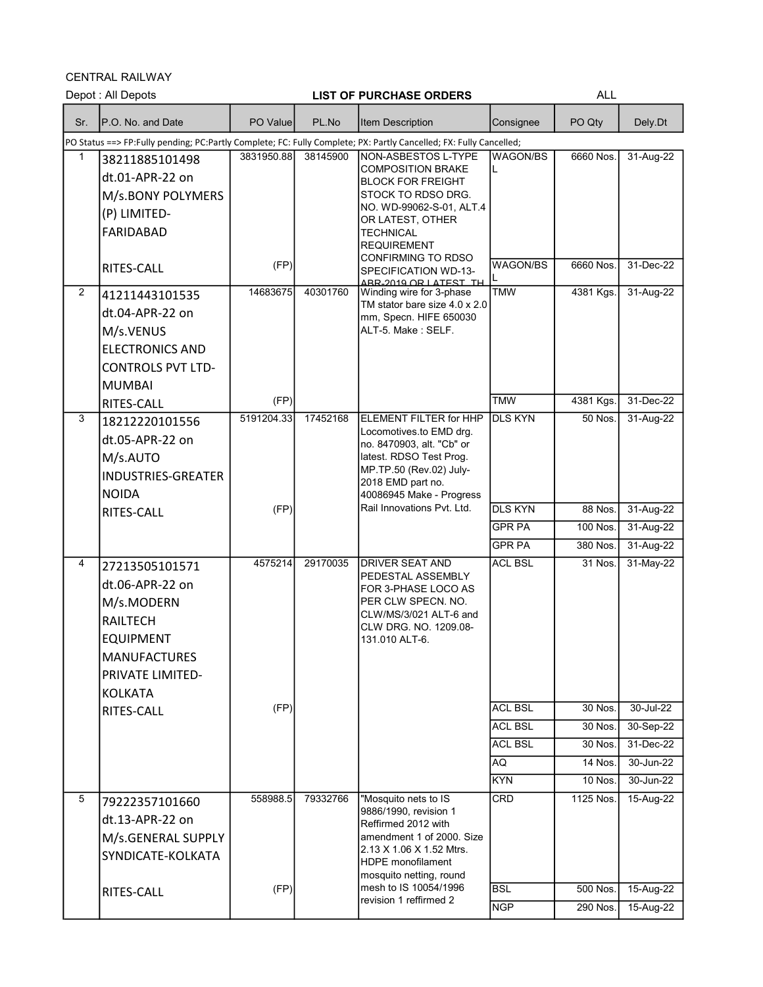CENTRAL RAILWAY

|     | Depot: All Depots                                                                                                  |            |          | <b>LIST OF PURCHASE ORDERS</b>                       |                | <b>ALL</b> |           |
|-----|--------------------------------------------------------------------------------------------------------------------|------------|----------|------------------------------------------------------|----------------|------------|-----------|
| Sr. | P.O. No. and Date                                                                                                  | PO Value   | PL.No    | Item Description                                     | Consignee      | PO Qty     | Dely.Dt   |
|     | PO Status ==> FP:Fully pending; PC:Partly Complete; FC: Fully Complete; PX: Partly Cancelled; FX: Fully Cancelled; |            |          |                                                      |                |            |           |
| 1   | 38211885101498                                                                                                     | 3831950.88 | 38145900 | NON-ASBESTOS L-TYPE<br><b>COMPOSITION BRAKE</b>      | WAGON/BS       | 6660 Nos.  | 31-Aug-22 |
|     | dt.01-APR-22 on                                                                                                    |            |          | <b>BLOCK FOR FREIGHT</b>                             | L              |            |           |
|     | M/s.BONY POLYMERS                                                                                                  |            |          | STOCK TO RDSO DRG.                                   |                |            |           |
|     | (P) LIMITED-                                                                                                       |            |          | NO. WD-99062-S-01, ALT.4<br>OR LATEST, OTHER         |                |            |           |
|     | <b>FARIDABAD</b>                                                                                                   |            |          | <b>TECHNICAL</b>                                     |                |            |           |
|     |                                                                                                                    |            |          | <b>REQUIREMENT</b>                                   |                |            |           |
|     | RITES-CALL                                                                                                         | (FP)       |          | <b>CONFIRMING TO RDSO</b><br>SPECIFICATION WD-13-    | WAGON/BS       | 6660 Nos.  | 31-Dec-22 |
| 2   |                                                                                                                    | 14683675   | 40301760 | ARR-2019 OR LATEST TH<br>Winding wire for 3-phase    | <b>TMW</b>     | 4381 Kgs.  | 31-Aug-22 |
|     | 41211443101535                                                                                                     |            |          | TM stator bare size 4.0 x 2.0                        |                |            |           |
|     | dt.04-APR-22 on                                                                                                    |            |          | mm, Specn. HIFE 650030                               |                |            |           |
|     | M/s.VENUS                                                                                                          |            |          | ALT-5. Make: SELF.                                   |                |            |           |
|     | <b>ELECTRONICS AND</b>                                                                                             |            |          |                                                      |                |            |           |
|     | <b>CONTROLS PVT LTD-</b>                                                                                           |            |          |                                                      |                |            |           |
|     | <b>MUMBAI</b>                                                                                                      |            |          |                                                      |                |            |           |
|     | RITES-CALL                                                                                                         | (FP)       |          |                                                      | <b>TMW</b>     | 4381 Kgs.  | 31-Dec-22 |
| 3   | 18212220101556                                                                                                     | 5191204.33 | 17452168 | ELEMENT FILTER for HHP<br>Locomotives to EMD drg.    | <b>DLS KYN</b> | 50 Nos.    | 31-Aug-22 |
|     | dt.05-APR-22 on                                                                                                    |            |          | no. 8470903, alt. "Cb" or                            |                |            |           |
|     | M/s.AUTO                                                                                                           |            |          | latest. RDSO Test Prog.<br>MP.TP.50 (Rev.02) July-   |                |            |           |
|     | <b>INDUSTRIES-GREATER</b>                                                                                          |            |          | 2018 EMD part no.                                    |                |            |           |
|     | <b>NOIDA</b>                                                                                                       |            |          | 40086945 Make - Progress                             |                |            |           |
|     | RITES-CALL                                                                                                         | (FP)       |          | Rail Innovations Pvt. Ltd.                           | <b>DLS KYN</b> | 88 Nos.    | 31-Aug-22 |
|     |                                                                                                                    |            |          |                                                      | <b>GPR PA</b>  | 100 Nos.   | 31-Aug-22 |
|     |                                                                                                                    |            |          |                                                      | <b>GPR PA</b>  | 380 Nos.   | 31-Aug-22 |
| 4   | 27213505101571                                                                                                     | 4575214    | 29170035 | <b>DRIVER SEAT AND</b><br>PEDESTAL ASSEMBLY          | <b>ACL BSL</b> | 31 Nos.    | 31-May-22 |
|     | dt.06-APR-22 on                                                                                                    |            |          | FOR 3-PHASE LOCO AS                                  |                |            |           |
|     | M/s.MODERN                                                                                                         |            |          | PER CLW SPECN, NO.                                   |                |            |           |
|     | <b>RAILTECH</b>                                                                                                    |            |          | CLW/MS/3/021 ALT-6 and<br>CLW DRG. NO. 1209.08-      |                |            |           |
|     | <b>EQUIPMENT</b>                                                                                                   |            |          | 131.010 ALT-6.                                       |                |            |           |
|     | <b>MANUFACTURES</b>                                                                                                |            |          |                                                      |                |            |           |
|     | PRIVATE LIMITED-                                                                                                   |            |          |                                                      |                |            |           |
|     | <b>KOLKATA</b>                                                                                                     |            |          |                                                      |                |            |           |
|     | RITES-CALL                                                                                                         | (FP)       |          |                                                      | <b>ACL BSL</b> | 30 Nos.    | 30-Jul-22 |
|     |                                                                                                                    |            |          |                                                      | <b>ACL BSL</b> | 30 Nos.    | 30-Sep-22 |
|     |                                                                                                                    |            |          |                                                      | <b>ACL BSL</b> | 30 Nos.    | 31-Dec-22 |
|     |                                                                                                                    |            |          |                                                      | AQ.            | 14 Nos.    | 30-Jun-22 |
|     |                                                                                                                    |            |          |                                                      | <b>KYN</b>     | 10 Nos.    | 30-Jun-22 |
| 5   | 79222357101660                                                                                                     | 558988.5   | 79332766 | "Mosquito nets to IS<br>9886/1990, revision 1        | CRD            | 1125 Nos.  | 15-Aug-22 |
|     | dt.13-APR-22 on                                                                                                    |            |          | Reffirmed 2012 with                                  |                |            |           |
|     | M/s.GENERAL SUPPLY                                                                                                 |            |          | amendment 1 of 2000. Size                            |                |            |           |
|     | SYNDICATE-KOLKATA                                                                                                  |            |          | 2.13 X 1.06 X 1.52 Mtrs.<br><b>HDPE</b> monofilament |                |            |           |
|     |                                                                                                                    |            |          | mosquito netting, round                              |                |            |           |
|     | RITES-CALL                                                                                                         | (FP)       |          | mesh to IS 10054/1996<br>revision 1 reffirmed 2      | <b>BSL</b>     | 500 Nos.   | 15-Aug-22 |
|     |                                                                                                                    |            |          |                                                      | <b>NGP</b>     | 290 Nos.   | 15-Aug-22 |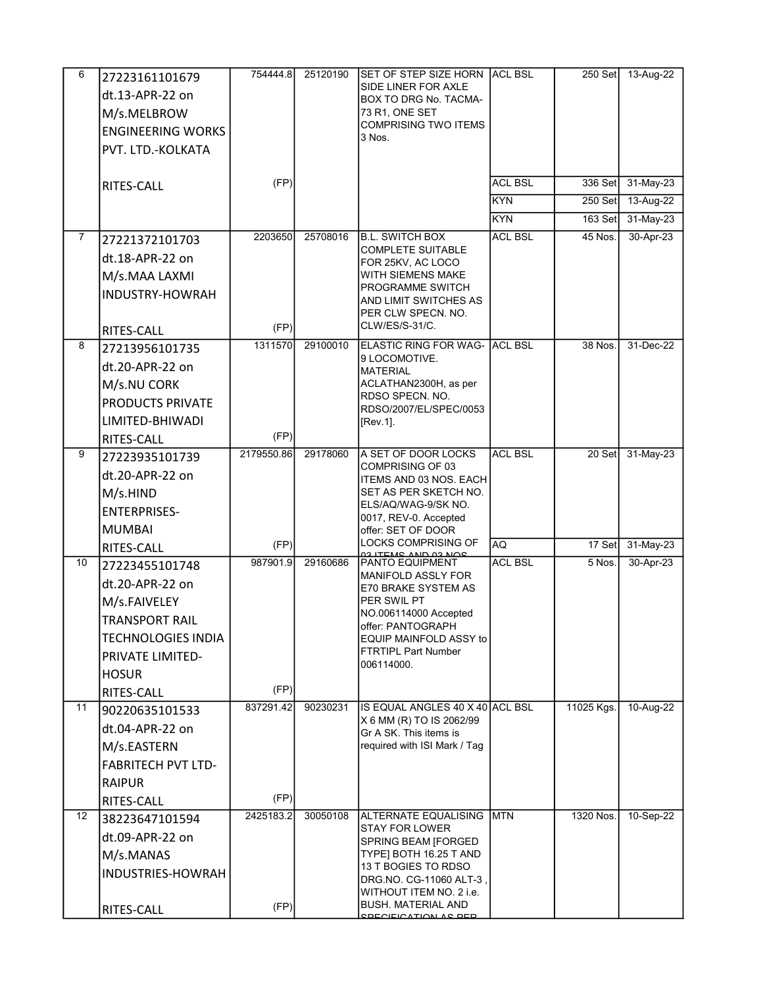| 6              | 27223161101679            | 754444.8   | 25120190 | SET OF STEP SIZE HORN ACL BSL                               |                | $250$ Set      | 13-Aug-22 |
|----------------|---------------------------|------------|----------|-------------------------------------------------------------|----------------|----------------|-----------|
|                | dt.13-APR-22 on           |            |          | SIDE LINER FOR AXLE<br>BOX TO DRG No. TACMA-                |                |                |           |
|                | M/s.MELBROW               |            |          | 73 R1, ONE SET                                              |                |                |           |
|                | <b>ENGINEERING WORKS</b>  |            |          | <b>COMPRISING TWO ITEMS</b>                                 |                |                |           |
|                | PVT. LTD.-KOLKATA         |            |          | 3 Nos.                                                      |                |                |           |
|                |                           |            |          |                                                             |                |                |           |
|                | RITES-CALL                | (FP)       |          |                                                             | <b>ACL BSL</b> | 336 Set        | 31-May-23 |
|                |                           |            |          |                                                             | <b>KYN</b>     | $250$ Set      | 13-Aug-22 |
|                |                           |            |          |                                                             | <b>KYN</b>     | <b>163 Set</b> | 31-May-23 |
| $\overline{7}$ | 27221372101703            | 2203650    | 25708016 | <b>B.L. SWITCH BOX</b>                                      | <b>ACL BSL</b> | 45 Nos.        | 30-Apr-23 |
|                | dt.18-APR-22 on           |            |          | <b>COMPLETE SUITABLE</b><br>FOR 25KV, AC LOCO               |                |                |           |
|                | M/s.MAA LAXMI             |            |          | WITH SIEMENS MAKE                                           |                |                |           |
|                | INDUSTRY-HOWRAH           |            |          | PROGRAMME SWITCH<br>AND LIMIT SWITCHES AS                   |                |                |           |
|                |                           |            |          | PER CLW SPECN. NO.                                          |                |                |           |
|                | <b>RITES-CALL</b>         | (FP)       |          | CLW/ES/S-31/C.                                              |                |                |           |
| 8              | 27213956101735            | 1311570    | 29100010 | <b>ELASTIC RING FOR WAG- ACL BSL</b><br>9 LOCOMOTIVE.       |                | 38 Nos.        | 31-Dec-22 |
|                | dt.20-APR-22 on           |            |          | <b>MATERIAL</b>                                             |                |                |           |
|                | M/s.NU CORK               |            |          | ACLATHAN2300H, as per                                       |                |                |           |
|                | PRODUCTS PRIVATE          |            |          | RDSO SPECN. NO.<br>RDSO/2007/EL/SPEC/0053                   |                |                |           |
|                | LIMITED-BHIWADI           |            |          | [Rev.1].                                                    |                |                |           |
|                | RITES-CALL                | (FP)       |          |                                                             |                |                |           |
| 9              | 27223935101739            | 2179550.86 | 29178060 | A SET OF DOOR LOCKS<br><b>COMPRISING OF 03</b>              | <b>ACL BSL</b> | 20 Set         | 31-May-23 |
|                | dt.20-APR-22 on           |            |          | ITEMS AND 03 NOS. EACH                                      |                |                |           |
|                | M/s.HIND                  |            |          | SET AS PER SKETCH NO.                                       |                |                |           |
|                | <b>ENTERPRISES-</b>       |            |          | ELS/AQ/WAG-9/SK NO.<br>0017, REV-0. Accepted                |                |                |           |
|                | <b>MUMBAI</b>             |            |          | offer: SET OF DOOR                                          |                |                |           |
|                | RITES-CALL                | (FP)       |          | LOCKS COMPRISING OF<br><u>OS ITEMO AND OS NOO</u>           | AQ             | 17 Set         | 31-May-23 |
| 10             | 27223455101748            | 987901.9   | 29160686 | PANTO EQUIPMENT<br>MANIFOLD ASSLY FOR                       | <b>ACL BSL</b> | 5 Nos.         | 30-Apr-23 |
|                | dt.20-APR-22 on           |            |          | E70 BRAKE SYSTEM AS                                         |                |                |           |
|                | M/s.FAIVELEY              |            |          | PER SWIL PT                                                 |                |                |           |
|                | <b>TRANSPORT RAIL</b>     |            |          | NO.006114000 Accepted<br>offer: PANTOGRAPH                  |                |                |           |
|                | <b>TECHNOLOGIES INDIA</b> |            |          | EQUIP MAINFOLD ASSY to                                      |                |                |           |
|                | PRIVATE LIMITED-          |            |          | <b>FTRTIPL Part Number</b><br>006114000.                    |                |                |           |
|                | <b>HOSUR</b>              |            |          |                                                             |                |                |           |
|                | RITES-CALL                | (FP)       |          |                                                             |                |                |           |
| 11             | 90220635101533            | 837291.42  | 90230231 | IS EQUAL ANGLES 40 X 40 ACL BSL<br>X 6 MM (R) TO IS 2062/99 |                | 11025 Kgs.     | 10-Aug-22 |
|                | dt.04-APR-22 on           |            |          | Gr A SK. This items is                                      |                |                |           |
|                | M/s.EASTERN               |            |          | required with ISI Mark / Tag                                |                |                |           |
|                | <b>FABRITECH PVT LTD-</b> |            |          |                                                             |                |                |           |
|                | <b>RAIPUR</b>             |            |          |                                                             |                |                |           |
|                | RITES-CALL                | (FP)       |          |                                                             |                |                |           |
| 12             | 38223647101594            | 2425183.2  | 30050108 | ALTERNATE EQUALISING<br><b>STAY FOR LOWER</b>               | <b>MTN</b>     | 1320 Nos.      | 10-Sep-22 |
|                | dt.09-APR-22 on           |            |          | SPRING BEAM [FORGED                                         |                |                |           |
|                | M/s.MANAS                 |            |          | TYPE] BOTH 16.25 T AND<br>13 T BOGIES TO RDSO               |                |                |           |
|                | INDUSTRIES-HOWRAH         |            |          | DRG.NO. CG-11060 ALT-3                                      |                |                |           |
|                |                           |            |          | WITHOUT ITEM NO. 2 i.e.                                     |                |                |           |
|                | RITES-CALL                | (FP)       |          | <b>BUSH. MATERIAL AND</b><br><b>COECIFICATION AC DED</b>    |                |                |           |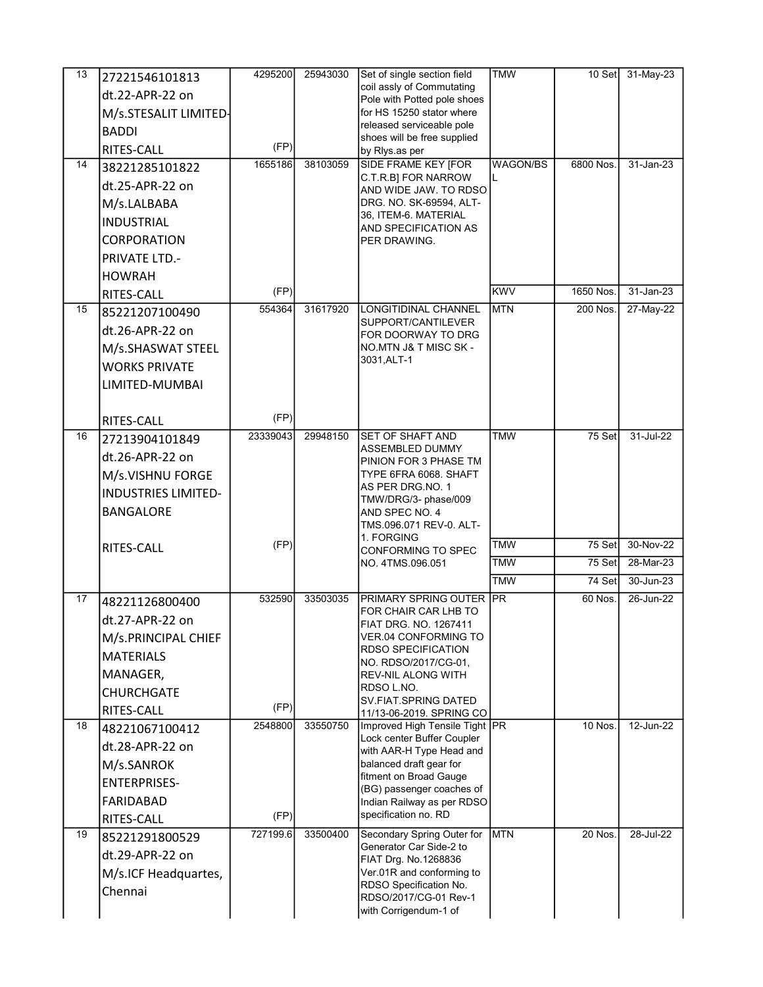| 13 | 27221546101813             | 4295200  | 25943030 | Set of single section field                              | <b>TMW</b>  | $10$ Set  | 31-May-23 |
|----|----------------------------|----------|----------|----------------------------------------------------------|-------------|-----------|-----------|
|    | dt.22-APR-22 on            |          |          | coil assly of Commutating<br>Pole with Potted pole shoes |             |           |           |
|    | M/s.STESALIT LIMITED-      |          |          | for HS 15250 stator where                                |             |           |           |
|    | <b>BADDI</b>               |          |          | released serviceable pole                                |             |           |           |
|    | RITES-CALL                 | (FP)     |          | shoes will be free supplied                              |             |           |           |
| 14 | 38221285101822             | 1655186  | 38103059 | by Rlys.as per<br><b>SIDE FRAME KEY [FOR</b>             | WAGON/BS    | 6800 Nos. | 31-Jan-23 |
|    |                            |          |          | C.T.R.B] FOR NARROW                                      | L           |           |           |
|    | dt.25-APR-22 on            |          |          | AND WIDE JAW. TO RDSO                                    |             |           |           |
|    | M/s.LALBABA                |          |          | DRG. NO. SK-69594, ALT-<br>36, ITEM-6. MATERIAL          |             |           |           |
|    | <b>INDUSTRIAL</b>          |          |          | AND SPECIFICATION AS                                     |             |           |           |
|    | <b>CORPORATION</b>         |          |          | PER DRAWING.                                             |             |           |           |
|    | <b>PRIVATE LTD.-</b>       |          |          |                                                          |             |           |           |
|    | <b>HOWRAH</b>              |          |          |                                                          |             |           |           |
|    | RITES-CALL                 | (FP)     |          |                                                          | <b>KWV</b>  | 1650 Nos. | 31-Jan-23 |
| 15 | 85221207100490             | 554364   | 31617920 | <b>LONGITIDINAL CHANNEL</b><br>SUPPORT/CANTILEVER        | <b>IMTN</b> | 200 Nos.  | 27-May-22 |
|    | dt.26-APR-22 on            |          |          | FOR DOORWAY TO DRG                                       |             |           |           |
|    | M/s.SHASWAT STEEL          |          |          | NO.MTN J& T MISC SK -                                    |             |           |           |
|    | <b>WORKS PRIVATE</b>       |          |          | 3031, ALT-1                                              |             |           |           |
|    | LIMITED-MUMBAI             |          |          |                                                          |             |           |           |
|    |                            |          |          |                                                          |             |           |           |
|    | RITES-CALL                 | (FP)     |          |                                                          |             |           |           |
| 16 | 27213904101849             | 23339043 | 29948150 | SET OF SHAFT AND                                         | <b>TMW</b>  | 75 Set    | 31-Jul-22 |
|    | dt.26-APR-22 on            |          |          | ASSEMBLED DUMMY<br>PINION FOR 3 PHASE TM                 |             |           |           |
|    | M/s.VISHNU FORGE           |          |          | TYPE 6FRA 6068. SHAFT                                    |             |           |           |
|    | <b>INDUSTRIES LIMITED-</b> |          |          | AS PER DRG.NO.1                                          |             |           |           |
|    | <b>BANGALORE</b>           |          |          | TMW/DRG/3- phase/009<br>AND SPEC NO. 4                   |             |           |           |
|    |                            |          |          | TMS.096.071 REV-0. ALT-                                  |             |           |           |
|    | RITES-CALL                 | (FP)     |          | 1. FORGING                                               | <b>TMW</b>  | 75 Set    | 30-Nov-22 |
|    |                            |          |          | CONFORMING TO SPEC<br>NO. 4TMS.096.051                   | <b>TMW</b>  | 75 Set    | 28-Mar-23 |
|    |                            |          |          |                                                          | <b>TMW</b>  | 74 Set    | 30-Jun-23 |
| 17 | 48221126800400             | 532590   | 33503035 | PRIMARY SPRING OUTER PR                                  |             | 60 Nos.   | 26-Jun-22 |
|    | dt.27-APR-22 on            |          |          | FOR CHAIR CAR LHB TO<br>FIAT DRG. NO. 1267411            |             |           |           |
|    | M/s.PRINCIPAL CHIEF        |          |          | VER.04 CONFORMING TO                                     |             |           |           |
|    | <b>MATERIALS</b>           |          |          | <b>RDSO SPECIFICATION</b>                                |             |           |           |
|    | MANAGER,                   |          |          | NO. RDSO/2017/CG-01,<br>REV-NIL ALONG WITH               |             |           |           |
|    | <b>CHURCHGATE</b>          |          |          | RDSO L.NO.                                               |             |           |           |
|    | RITES-CALL                 | (FP)     |          | SV FIAT SPRING DATED<br>11/13-06-2019. SPRING CO         |             |           |           |
| 18 | 48221067100412             | 2548800  | 33550750 | Improved High Tensile Tight PR                           |             | 10 Nos.   | 12-Jun-22 |
|    | dt.28-APR-22 on            |          |          | Lock center Buffer Coupler                               |             |           |           |
|    | M/s.SANROK                 |          |          | with AAR-H Type Head and<br>balanced draft gear for      |             |           |           |
|    | <b>ENTERPRISES-</b>        |          |          | fitment on Broad Gauge                                   |             |           |           |
|    |                            |          |          | (BG) passenger coaches of                                |             |           |           |
|    | FARIDABAD                  | (FP)     |          | Indian Railway as per RDSO<br>specification no. RD       |             |           |           |
| 19 | RITES-CALL                 | 727199.6 | 33500400 | Secondary Spring Outer for                               | <b>MTN</b>  | 20 Nos.   | 28-Jul-22 |
|    | 85221291800529             |          |          | Generator Car Side-2 to                                  |             |           |           |
|    | dt.29-APR-22 on            |          |          | FIAT Drg. No.1268836                                     |             |           |           |
|    | M/s.ICF Headquartes,       |          |          | Ver.01R and conforming to<br>RDSO Specification No.      |             |           |           |
|    | Chennai                    |          |          | RDSO/2017/CG-01 Rev-1                                    |             |           |           |
|    |                            |          |          | with Corrigendum-1 of                                    |             |           |           |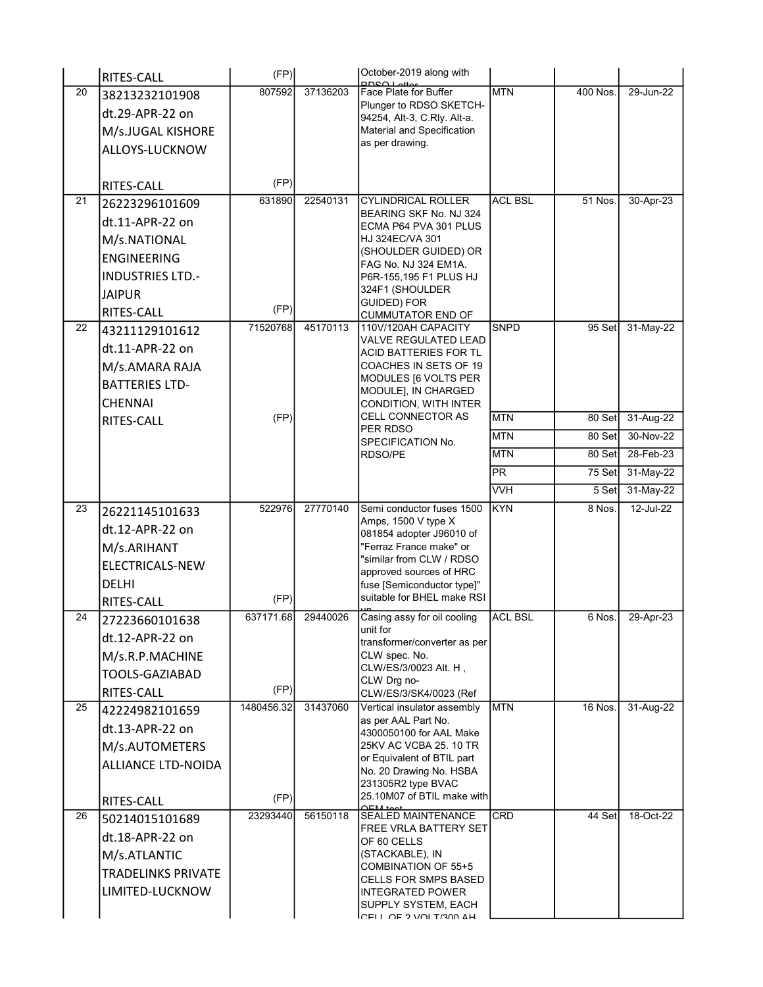|    | RITES-CALL                | (FP)               |          | October-2019 along with<br><b>PDSQ Lottor</b>                                                                  |                |          |             |
|----|---------------------------|--------------------|----------|----------------------------------------------------------------------------------------------------------------|----------------|----------|-------------|
| 20 | 38213232101908            | 807592             | 37136203 | Face Plate for Buffer                                                                                          | <b>MTN</b>     | 400 Nos. | 29-Jun-22   |
|    | dt.29-APR-22 on           |                    |          | Plunger to RDSO SKETCH-<br>94254, Alt-3, C.Rly. Alt-a.                                                         |                |          |             |
|    | M/s.JUGAL KISHORE         |                    |          | Material and Specification                                                                                     |                |          |             |
|    | ALLOYS-LUCKNOW            |                    |          | as per drawing.                                                                                                |                |          |             |
|    |                           |                    |          |                                                                                                                |                |          |             |
|    | RITES-CALL                | (FP)               |          |                                                                                                                |                |          |             |
| 21 | 26223296101609            | 631890             | 22540131 | <b>CYLINDRICAL ROLLER</b>                                                                                      | <b>ACL BSL</b> | 51 Nos.  | 30-Apr-23   |
|    | dt.11-APR-22 on           |                    |          | BEARING SKF No. NJ 324<br>ECMA P64 PVA 301 PLUS                                                                |                |          |             |
|    | M/s.NATIONAL              |                    |          | HJ 324EC/VA 301                                                                                                |                |          |             |
|    | <b>ENGINEERING</b>        |                    |          | (SHOULDER GUIDED) OR                                                                                           |                |          |             |
|    | <b>INDUSTRIES LTD.-</b>   |                    |          | FAG No. NJ 324 EM1A.<br>P6R-155,195 F1 PLUS HJ                                                                 |                |          |             |
|    | <b>JAIPUR</b>             |                    |          | 324F1 (SHOULDER                                                                                                |                |          |             |
|    | RITES-CALL                | (FP)               |          | GUIDED) FOR                                                                                                    |                |          |             |
| 22 | 43211129101612            | 71520768           | 45170113 | <b>CUMMUTATOR END OF</b><br>110V/120AH CAPACITY                                                                | <b>SNPD</b>    | $95$ Set | $31-May-22$ |
|    | dt.11-APR-22 on           |                    |          | <b>VALVE REGULATED LEAD</b>                                                                                    |                |          |             |
|    | M/s.AMARA RAJA            |                    |          | <b>ACID BATTERIES FOR TL</b><br>COACHES IN SETS OF 19                                                          |                |          |             |
|    | <b>BATTERIES LTD-</b>     |                    |          | MODULES [6 VOLTS PER                                                                                           |                |          |             |
|    | <b>CHENNAI</b>            |                    |          | MODULE], IN CHARGED                                                                                            |                |          |             |
|    |                           | (FP)               |          | CONDITION, WITH INTER<br><b>CELL CONNECTOR AS</b>                                                              | <b>MTN</b>     | 80 Set   | 31-Aug-22   |
|    | RITES-CALL                |                    |          | PER RDSO                                                                                                       | <b>MTN</b>     | 80 Set   | 30-Nov-22   |
|    |                           |                    |          | SPECIFICATION No.<br>RDSO/PE                                                                                   | <b>IMTN</b>    | 80 Set   | 28-Feb-23   |
|    |                           |                    |          |                                                                                                                | PR             | 75 Set   | 31-May-22   |
|    |                           |                    |          |                                                                                                                | <b>VVH</b>     | 5 Set    | 31-May-22   |
| 23 |                           | 522976             | 27770140 | Semi conductor fuses 1500                                                                                      | <b>IKYN</b>    | 8 Nos.   | 12-Jul-22   |
|    | 26221145101633            |                    |          | Amps, 1500 V type X                                                                                            |                |          |             |
|    | dt.12-APR-22 on           |                    |          | 081854 adopter J96010 of                                                                                       |                |          |             |
|    | M/s.ARIHANT               |                    |          | "Ferraz France make" or<br>"similar from CLW / RDSO                                                            |                |          |             |
|    | <b>ELECTRICALS-NEW</b>    |                    |          | approved sources of HRC                                                                                        |                |          |             |
|    | <b>DELHI</b>              |                    |          | fuse [Semiconductor type]"<br>suitable for BHEL make RSI                                                       |                |          |             |
| 24 | RITES-CALL                | (FP)<br>637171.68  | 29440026 | Casing assy for oil cooling                                                                                    | <b>ACL BSL</b> | 6 Nos.   | 29-Apr-23   |
|    | 27223660101638            |                    |          | unit for                                                                                                       |                |          |             |
|    | dt.12-APR-22 on           |                    |          | transformer/converter as per                                                                                   |                |          |             |
|    | M/s.R.P.MACHINE           |                    |          | CLW spec. No.<br>CLW/ES/3/0023 Alt. H,                                                                         |                |          |             |
|    | TOOLS-GAZIABAD            |                    |          | CLW Drg no-                                                                                                    |                |          |             |
| 25 | RITES-CALL                | (FP)<br>1480456.32 | 31437060 | CLW/ES/3/SK4/0023 (Ref<br>Vertical insulator assembly                                                          | <b>MTN</b>     | 16 Nos.  | 31-Aug-22   |
|    | 42224982101659            |                    |          | as per AAL Part No.                                                                                            |                |          |             |
|    | dt.13-APR-22 on           |                    |          | 4300050100 for AAL Make                                                                                        |                |          |             |
|    | M/s.AUTOMETERS            |                    |          | 25KV AC VCBA 25, 10 TR<br>or Equivalent of BTIL part                                                           |                |          |             |
|    | <b>ALLIANCE LTD-NOIDA</b> |                    |          | No. 20 Drawing No. HSBA                                                                                        |                |          |             |
|    |                           |                    |          | 231305R2 type BVAC                                                                                             |                |          |             |
|    | RITES-CALL                | (FP)               |          | 25.10M07 of BTIL make with<br>$\bigcap \text{LM}$ toot                                                         |                |          |             |
|    |                           |                    |          |                                                                                                                |                |          | 18-Oct-22   |
|    | dt.18-APR-22 on           |                    |          | OF 60 CELLS                                                                                                    |                |          |             |
|    | M/s.ATLANTIC              |                    |          | (STACKABLE), IN                                                                                                |                |          |             |
|    | <b>TRADELINKS PRIVATE</b> |                    |          | <b>CELLS FOR SMPS BASED</b>                                                                                    |                |          |             |
|    | LIMITED-LUCKNOW           |                    |          | <b>INTEGRATED POWER</b>                                                                                        |                |          |             |
|    |                           |                    |          |                                                                                                                |                |          |             |
| 26 | 50214015101689            | 23293440           | 56150118 | <b>SEALED MAINTENANCE</b><br><b>FREE VRLA BATTERY SET</b><br><b>COMBINATION OF 55+5</b><br>SUPPLY SYSTEM, EACH | CRD            | 44 Setl  |             |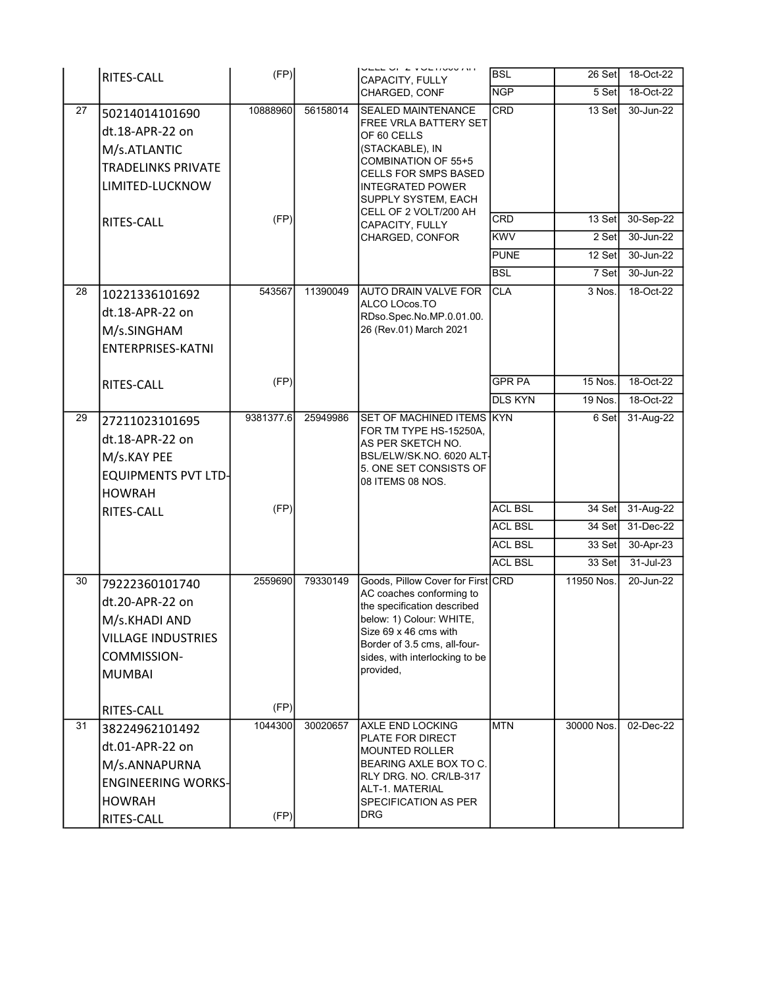|                 | RITES-CALL                 | (FP)      |          | VELE VI & VULTIVUU AIT<br>CAPACITY, FULLY                      | <b>BSL</b>     | 26 Set     | 18-Oct-22     |
|-----------------|----------------------------|-----------|----------|----------------------------------------------------------------|----------------|------------|---------------|
|                 |                            |           |          | CHARGED, CONF                                                  | <b>NGP</b>     | 5 Set      | 18-Oct-22     |
| 27              | 50214014101690             | 10888960  | 56158014 | <b>SEALED MAINTENANCE</b>                                      | CRD            | 13 Set     | $30 - Jun-22$ |
|                 | dt.18-APR-22 on            |           |          | FREE VRLA BATTERY SET<br>OF 60 CELLS                           |                |            |               |
|                 | M/s.ATLANTIC               |           |          | (STACKABLE), IN                                                |                |            |               |
|                 | <b>TRADELINKS PRIVATE</b>  |           |          | COMBINATION OF 55+5<br><b>CELLS FOR SMPS BASED</b>             |                |            |               |
|                 | LIMITED-LUCKNOW            |           |          | <b>INTEGRATED POWER</b>                                        |                |            |               |
|                 |                            |           |          | SUPPLY SYSTEM, EACH<br>CELL OF 2 VOLT/200 AH                   |                |            |               |
|                 | RITES-CALL                 | (FP)      |          | CAPACITY, FULLY                                                | <b>CRD</b>     | 13 Set     | 30-Sep-22     |
|                 |                            |           |          | CHARGED, CONFOR                                                | <b>KWV</b>     | 2 Set      | 30-Jun-22     |
|                 |                            |           |          |                                                                | <b>PUNE</b>    | 12 Set     | 30-Jun-22     |
|                 |                            |           |          |                                                                | <b>BSL</b>     | 7 Set      | 30-Jun-22     |
| 28              | 10221336101692             | 543567    | 11390049 | AUTO DRAIN VALVE FOR<br>ALCO LOcos.TO                          | <b>CLA</b>     | 3 Nos.     | 18-Oct-22     |
|                 | dt.18-APR-22 on            |           |          | RDso.Spec.No.MP.0.01.00.                                       |                |            |               |
|                 | M/s.SINGHAM                |           |          | 26 (Rev.01) March 2021                                         |                |            |               |
|                 | <b>ENTERPRISES-KATNI</b>   |           |          |                                                                |                |            |               |
|                 |                            |           |          |                                                                |                |            |               |
|                 | RITES-CALL                 | (FP)      |          |                                                                | <b>GPR PA</b>  | $15$ Nos.  | 18-Oct-22     |
|                 |                            |           |          |                                                                | <b>DLS KYN</b> | 19 Nos.    | 18-Oct-22     |
| 29              | 27211023101695             | 9381377.6 | 25949986 | SET OF MACHINED ITEMS KYN<br>FOR TM TYPE HS-15250A,            |                | 6 Set      | 31-Aug-22     |
|                 | dt.18-APR-22 on            |           |          | AS PER SKETCH NO.                                              |                |            |               |
|                 | M/s.KAY PEE                |           |          | BSL/ELW/SK.NO. 6020 ALT-<br>5. ONE SET CONSISTS OF             |                |            |               |
|                 | <b>EQUIPMENTS PVT LTD-</b> |           |          | 08 ITEMS 08 NOS.                                               |                |            |               |
|                 | <b>HOWRAH</b>              | (FP)      |          |                                                                | <b>ACL BSL</b> | 34 Set     | 31-Aug-22     |
|                 | RITES-CALL                 |           |          |                                                                | <b>ACL BSL</b> | 34 Set     | 31-Dec-22     |
|                 |                            |           |          |                                                                | <b>ACL BSL</b> | 33 Set     | 30-Apr-23     |
|                 |                            |           |          |                                                                | <b>ACL BSL</b> | 33 Set     | $31 -$ Jul-23 |
| 30              | 79222360101740             | 2559690   | 79330149 | Goods, Pillow Cover for First CRD                              |                | 11950 Nos. | 20-Jun-22     |
|                 | dt.20-APR-22 on            |           |          | AC coaches conforming to                                       |                |            |               |
|                 | M/s.KHADI AND              |           |          | the specification described<br>below: 1) Colour: WHITE,        |                |            |               |
|                 | <b>VILLAGE INDUSTRIES</b>  |           |          | Size 69 x 46 cms with                                          |                |            |               |
|                 | COMMISSION-                |           |          | Border of 3.5 cms, all-four-<br>sides, with interlocking to be |                |            |               |
|                 | <b>MUMBAI</b>              |           |          | provided,                                                      |                |            |               |
|                 |                            |           |          |                                                                |                |            |               |
|                 | RITES-CALL                 | (FP)      |          |                                                                |                |            |               |
| $\overline{31}$ | 38224962101492             | 1044300   | 30020657 | <b>AXLE END LOCKING</b>                                        | <b>MTN</b>     | 30000 Nos. | 02-Dec-22     |
|                 | dt.01-APR-22 on            |           |          | PLATE FOR DIRECT<br><b>MOUNTED ROLLER</b>                      |                |            |               |
|                 | M/s.ANNAPURNA              |           |          | BEARING AXLE BOX TO C.                                         |                |            |               |
|                 | <b>ENGINEERING WORKS-</b>  |           |          | RLY DRG. NO. CR/LB-317<br>ALT-1. MATERIAL                      |                |            |               |
|                 | <b>HOWRAH</b>              |           |          | SPECIFICATION AS PER                                           |                |            |               |
|                 | RITES-CALL                 | (FP)      |          | <b>DRG</b>                                                     |                |            |               |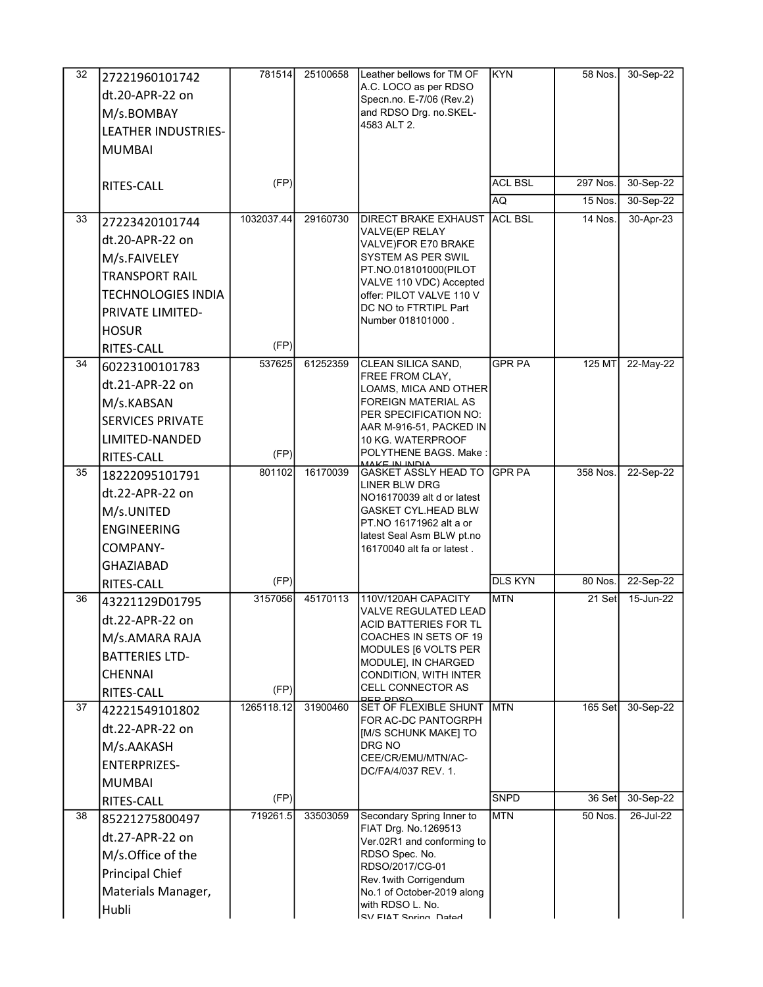| 32 | 27221960101742            | 781514     | 25100658 | Leather bellows for TM OF                               | <b>KYN</b>     | 58 Nos.        | 30-Sep-22 |
|----|---------------------------|------------|----------|---------------------------------------------------------|----------------|----------------|-----------|
|    | dt.20-APR-22 on           |            |          | A.C. LOCO as per RDSO<br>Specn.no. E-7/06 (Rev.2)       |                |                |           |
|    | M/s.BOMBAY                |            |          | and RDSO Drg. no.SKEL-                                  |                |                |           |
|    | LEATHER INDUSTRIES-       |            |          | 4583 ALT 2.                                             |                |                |           |
|    | <b>MUMBAI</b>             |            |          |                                                         |                |                |           |
|    |                           |            |          |                                                         |                |                |           |
|    | RITES-CALL                | (FP)       |          |                                                         | <b>ACL BSL</b> | 297 Nos.       | 30-Sep-22 |
|    |                           |            |          |                                                         | AQ.            | <b>15 Nos.</b> | 30-Sep-22 |
| 33 | 27223420101744            | 1032037.44 | 29160730 | <b>DIRECT BRAKE EXHAUST</b>                             | <b>ACL BSL</b> | <b>14 Nos.</b> | 30-Apr-23 |
|    | dt.20-APR-22 on           |            |          | VALVE(EP RELAY<br>VALVE)FOR E70 BRAKE                   |                |                |           |
|    | M/s.FAIVELEY              |            |          | SYSTEM AS PER SWIL                                      |                |                |           |
|    | <b>TRANSPORT RAIL</b>     |            |          | PT.NO.018101000(PILOT                                   |                |                |           |
|    | <b>TECHNOLOGIES INDIA</b> |            |          | VALVE 110 VDC) Accepted<br>offer: PILOT VALVE 110 V     |                |                |           |
|    | <b>PRIVATE LIMITED-</b>   |            |          | DC NO to FTRTIPL Part                                   |                |                |           |
|    | <b>HOSUR</b>              |            |          | Number 018101000.                                       |                |                |           |
|    | <b>RITES-CALL</b>         | (FP)       |          |                                                         |                |                |           |
| 34 | 60223100101783            | 537625     | 61252359 | CLEAN SILICA SAND,                                      | <b>GPR PA</b>  | 125 MT         | 22-May-22 |
|    | dt.21-APR-22 on           |            |          | FREE FROM CLAY.<br>LOAMS, MICA AND OTHER                |                |                |           |
|    | M/s.KABSAN                |            |          | <b>FOREIGN MATERIAL AS</b>                              |                |                |           |
|    | <b>SERVICES PRIVATE</b>   |            |          | PER SPECIFICATION NO:                                   |                |                |           |
|    | LIMITED-NANDED            |            |          | AAR M-916-51, PACKED IN<br>10 KG. WATERPROOF            |                |                |           |
|    | <b>RITES-CALL</b>         | (FP)       |          | POLYTHENE BAGS. Make:                                   |                |                |           |
| 35 | 18222095101791            | 801102     | 16170039 | MAKE IN INDIA<br><b>GASKET ASSLY HEAD TO</b>            | <b>GPR PA</b>  | 358 Nos.       | 22-Sep-22 |
|    | dt.22-APR-22 on           |            |          | LINER BLW DRG<br>NO16170039 alt d or latest             |                |                |           |
|    | M/s.UNITED                |            |          | <b>GASKET CYL.HEAD BLW</b>                              |                |                |           |
|    | <b>ENGINEERING</b>        |            |          | PT NO 16171962 alt a or                                 |                |                |           |
|    | COMPANY-                  |            |          | latest Seal Asm BLW pt.no<br>16170040 alt fa or latest. |                |                |           |
|    | <b>GHAZIABAD</b>          |            |          |                                                         |                |                |           |
|    | RITES-CALL                | (FP)       |          |                                                         | <b>DLS KYN</b> | 80 Nos.        | 22-Sep-22 |
| 36 | 43221129D01795            | 3157056    | 45170113 | 110V/120AH CAPACITY                                     | <b>MTN</b>     | 21 Set         | 15-Jun-22 |
|    | dt.22-APR-22 on           |            |          | VALVE REGULATED LEAD<br>ACID BATTERIES FOR TL           |                |                |           |
|    | M/s.AMARA RAJA            |            |          | COACHES IN SETS OF 19                                   |                |                |           |
|    | <b>BATTERIES LTD-</b>     |            |          | MODULES [6 VOLTS PER                                    |                |                |           |
|    | <b>CHENNAI</b>            |            |          | MODULE], IN CHARGED<br>CONDITION, WITH INTER            |                |                |           |
|    | RITES-CALL                | (FP)       |          | <b>CELL CONNECTOR AS</b><br>DED DNSA                    |                |                |           |
| 37 | 42221549101802            | 1265118.12 | 31900460 | SET OF FLEXIBLE SHUNT                                   | <b>MTN</b>     | 165 Set        | 30-Sep-22 |
|    | dt.22-APR-22 on           |            |          | FOR AC-DC PANTOGRPH<br>[M/S SCHUNK MAKE] TO             |                |                |           |
|    | M/s.AAKASH                |            |          | DRG NO                                                  |                |                |           |
|    | ENTERPRIZES-              |            |          | CEE/CR/EMU/MTN/AC-<br>DC/FA/4/037 REV. 1.               |                |                |           |
|    | <b>MUMBAI</b>             |            |          |                                                         |                |                |           |
|    | RITES-CALL                | (FP)       |          |                                                         | <b>SNPD</b>    | 36 Set         | 30-Sep-22 |
| 38 | 85221275800497            | 719261.5   | 33503059 | Secondary Spring Inner to                               | <b>MTN</b>     | 50 Nos.        | 26-Jul-22 |
|    | dt.27-APR-22 on           |            |          | FIAT Drg. No.1269513<br>Ver.02R1 and conforming to      |                |                |           |
|    | M/s.Office of the         |            |          | RDSO Spec. No.                                          |                |                |           |
|    | <b>Principal Chief</b>    |            |          | RDSO/2017/CG-01<br>Rev.1with Corrigendum                |                |                |           |
|    | Materials Manager,        |            |          | No.1 of October-2019 along                              |                |                |           |
|    | Hubli                     |            |          | with RDSO L. No.<br>SV FIAT Spring Datad                |                |                |           |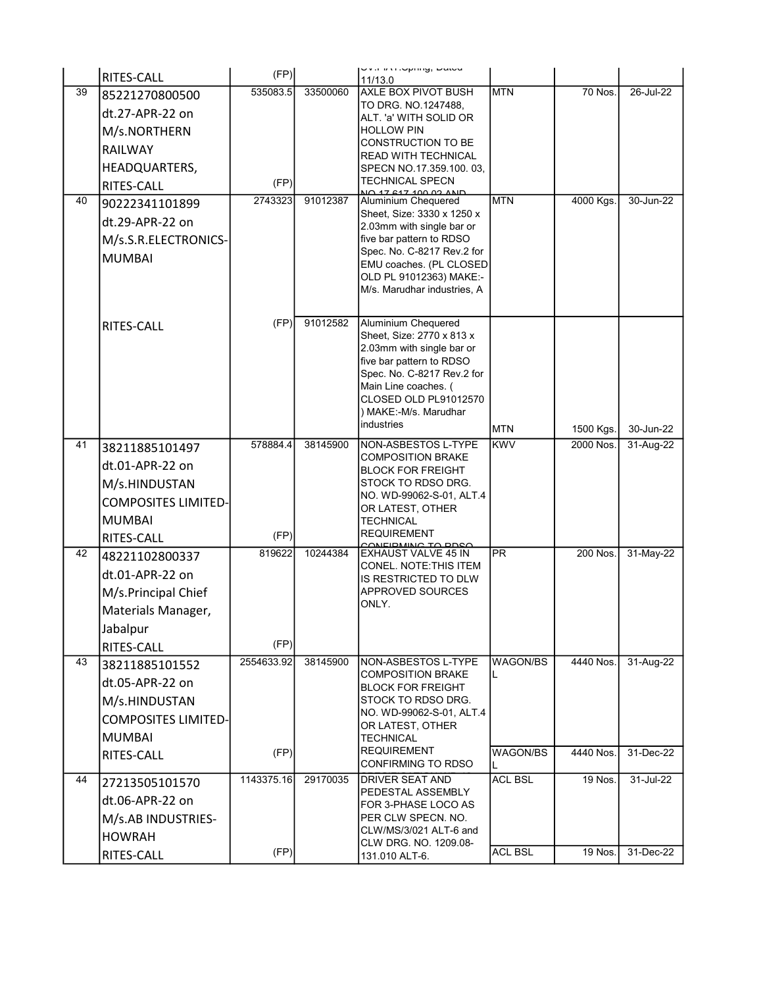|    | RITES-CALL                 | (FP)               |          | UV.I.IMI.Uphiliy, Dalcu<br>11/13.0                      |                          |                        |                        |
|----|----------------------------|--------------------|----------|---------------------------------------------------------|--------------------------|------------------------|------------------------|
| 39 | 85221270800500             | 535083.5           | 33500060 | <b>AXLE BOX PIVOT BUSH</b>                              | <b>MTN</b>               | <b>70 Nos.</b>         | 26-Jul-22              |
|    | dt.27-APR-22 on            |                    |          | TO DRG. NO.1247488,<br>ALT. 'a' WITH SOLID OR           |                          |                        |                        |
|    | M/s.NORTHERN               |                    |          | <b>HOLLOW PIN</b>                                       |                          |                        |                        |
|    | RAILWAY                    |                    |          | CONSTRUCTION TO BE                                      |                          |                        |                        |
|    | HEADQUARTERS,              |                    |          | <b>READ WITH TECHNICAL</b><br>SPECN NO.17.359.100.03,   |                          |                        |                        |
|    | <b>RITES-CALL</b>          | (FP)               |          | <b>TECHNICAL SPECN</b>                                  |                          |                        |                        |
| 40 | 90222341101899             | 2743323            | 91012387 | NO 17 617 100 02 AND<br><b>Aluminium Chequered</b>      | <b>MTN</b>               | 4000 Kgs.              | 30-Jun-22              |
|    | dt.29-APR-22 on            |                    |          | Sheet, Size: 3330 x 1250 x<br>2.03mm with single bar or |                          |                        |                        |
|    | M/s.S.R.ELECTRONICS-       |                    |          | five bar pattern to RDSO                                |                          |                        |                        |
|    | <b>MUMBAI</b>              |                    |          | Spec. No. C-8217 Rev.2 for                              |                          |                        |                        |
|    |                            |                    |          | EMU coaches. (PL CLOSED<br>OLD PL 91012363) MAKE:-      |                          |                        |                        |
|    |                            |                    |          | M/s. Marudhar industries, A                             |                          |                        |                        |
|    |                            |                    |          |                                                         |                          |                        |                        |
|    | RITES-CALL                 | (FP)               | 91012582 | <b>Aluminium Chequered</b><br>Sheet, Size: 2770 x 813 x |                          |                        |                        |
|    |                            |                    |          | 2.03mm with single bar or                               |                          |                        |                        |
|    |                            |                    |          | five bar pattern to RDSO                                |                          |                        |                        |
|    |                            |                    |          | Spec. No. C-8217 Rev.2 for<br>Main Line coaches. (      |                          |                        |                        |
|    |                            |                    |          | CLOSED OLD PL91012570                                   |                          |                        |                        |
|    |                            |                    |          | ) MAKE:-M/s. Marudhar<br>industries                     |                          |                        |                        |
| 41 |                            | 578884.4           | 38145900 | NON-ASBESTOS L-TYPE                                     | <b>MTN</b><br><b>KWV</b> | 1500 Kgs.<br>2000 Nos. | 30-Jun-22<br>31-Aug-22 |
|    | 38211885101497             |                    |          | <b>COMPOSITION BRAKE</b>                                |                          |                        |                        |
|    | dt.01-APR-22 on            |                    |          | <b>BLOCK FOR FREIGHT</b>                                |                          |                        |                        |
|    | M/s.HINDUSTAN              |                    |          | STOCK TO RDSO DRG.<br>NO. WD-99062-S-01, ALT.4          |                          |                        |                        |
|    | <b>COMPOSITES LIMITED-</b> |                    |          | OR LATEST, OTHER                                        |                          |                        |                        |
|    | <b>MUMBAI</b>              |                    |          | <b>TECHNICAL</b><br><b>REQUIREMENT</b>                  |                          |                        |                        |
| 42 | RITES-CALL                 | (FP)<br>819622     | 10244384 | CONFIDIAING TO PDSO<br><b>EXHAUST VALVE 45 IN</b>       | <b>PR</b>                | 200 Nos.               | 31-May-22              |
|    | 48221102800337             |                    |          | CONEL. NOTE: THIS ITEM                                  |                          |                        |                        |
|    | dt.01-APR-22 on            |                    |          | <b>IS RESTRICTED TO DLW</b>                             |                          |                        |                        |
|    | M/s.Principal Chief        |                    |          | APPROVED SOURCES<br>ONLY.                               |                          |                        |                        |
|    | Materials Manager,         |                    |          |                                                         |                          |                        |                        |
|    | Jabalpur                   |                    |          |                                                         |                          |                        |                        |
| 43 | RITES-CALL                 | (FP)<br>2554633.92 | 38145900 | NON-ASBESTOS L-TYPE                                     | <b>WAGON/BS</b>          | 4440 Nos.              | 31-Aug-22              |
|    | 38211885101552             |                    |          | <b>COMPOSITION BRAKE</b>                                | L                        |                        |                        |
|    | dt.05-APR-22 on            |                    |          | <b>BLOCK FOR FREIGHT</b>                                |                          |                        |                        |
|    | M/s.HINDUSTAN              |                    |          | STOCK TO RDSO DRG.<br>NO. WD-99062-S-01, ALT.4          |                          |                        |                        |
|    | <b>COMPOSITES LIMITED-</b> |                    |          | OR LATEST, OTHER                                        |                          |                        |                        |
|    | <b>MUMBAI</b>              | (FP)               |          | TECHNICAL<br><b>REQUIREMENT</b>                         | WAGON/BS                 | 4440 Nos.              | 31-Dec-22              |
|    | RITES-CALL                 |                    |          | CONFIRMING TO RDSO                                      |                          |                        |                        |
| 44 | 27213505101570             | 1143375.16         | 29170035 | <b>DRIVER SEAT AND</b><br>PEDESTAL ASSEMBLY             | <b>ACL BSL</b>           | 19 Nos.                | 31-Jul-22              |
|    | dt.06-APR-22 on            |                    |          | FOR 3-PHASE LOCO AS                                     |                          |                        |                        |
|    | M/s.AB INDUSTRIES-         |                    |          | PER CLW SPECN. NO.                                      |                          |                        |                        |
|    | <b>HOWRAH</b>              |                    |          | CLW/MS/3/021 ALT-6 and<br>CLW DRG. NO. 1209.08-         |                          |                        |                        |
|    | RITES-CALL                 | (FP)               |          | 131.010 ALT-6.                                          | <b>ACL BSL</b>           | 19 Nos.                | 31-Dec-22              |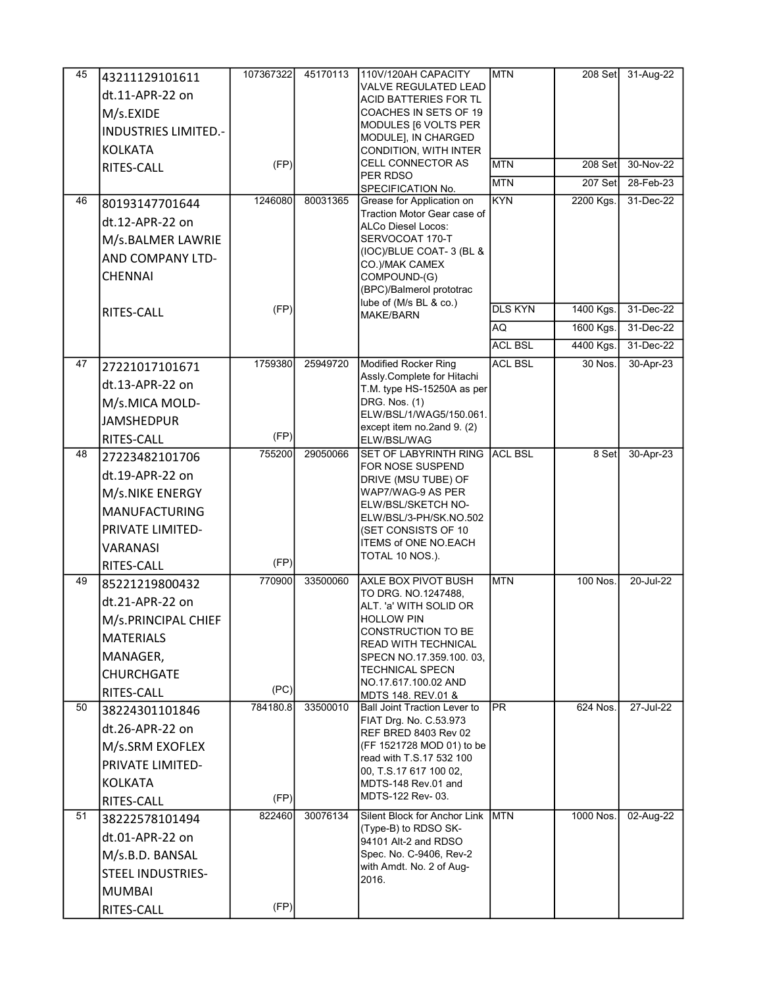| 45 | 43211129101611              | 107367322 | 45170113 | 110V/120AH CAPACITY                                         | <b>MTN</b>     |           | 208 Set 31-Aug-22 |
|----|-----------------------------|-----------|----------|-------------------------------------------------------------|----------------|-----------|-------------------|
|    | dt.11-APR-22 on             |           |          | <b>VALVE REGULATED LEAD</b><br><b>ACID BATTERIES FOR TL</b> |                |           |                   |
|    | M/s.EXIDE                   |           |          | COACHES IN SETS OF 19                                       |                |           |                   |
|    | <b>INDUSTRIES LIMITED.-</b> |           |          | MODULES [6 VOLTS PER                                        |                |           |                   |
|    | <b>KOLKATA</b>              |           |          | MODULE], IN CHARGED<br>CONDITION, WITH INTER                |                |           |                   |
|    | RITES-CALL                  | (FP)      |          | CELL CONNECTOR AS                                           | <b>MTN</b>     | 208 Set   | 30-Nov-22         |
|    |                             |           |          | PER RDSO                                                    | <b>MTN</b>     | 207 Set   | 28-Feb-23         |
| 46 | 80193147701644              | 1246080   | 80031365 | SPECIFICATION No.<br>Grease for Application on              | <b>KYN</b>     | 2200 Kgs. | 31-Dec-22         |
|    | dt.12-APR-22 on             |           |          | Traction Motor Gear case of                                 |                |           |                   |
|    | M/s.BALMER LAWRIE           |           |          | ALCo Diesel Locos:<br>SERVOCOAT 170-T                       |                |           |                   |
|    | <b>AND COMPANY LTD-</b>     |           |          | (IOC)/BLUE COAT-3 (BL &                                     |                |           |                   |
|    |                             |           |          | CO.)/MAK CAMEX                                              |                |           |                   |
|    | <b>CHENNAI</b>              |           |          | COMPOUND-(G)<br>(BPC)/Balmerol prototrac                    |                |           |                   |
|    |                             | (FP)      |          | lube of (M/s BL & co.)                                      | <b>DLS KYN</b> | 1400 Kgs. | 31-Dec-22         |
|    | RITES-CALL                  |           |          | <b>MAKE/BARN</b>                                            | AQ             | 1600 Kgs. | 31-Dec-22         |
|    |                             |           |          |                                                             | <b>ACL BSL</b> | 4400 Kgs. | 31-Dec-22         |
| 47 |                             | 1759380   | 25949720 | <b>Modified Rocker Ring</b>                                 | <b>ACL BSL</b> | 30 Nos.   | 30-Apr-23         |
|    | 27221017101671              |           |          | Assly Complete for Hitachi                                  |                |           |                   |
|    | dt.13-APR-22 on             |           |          | T.M. type HS-15250A as per                                  |                |           |                   |
|    | M/s.MICA MOLD-              |           |          | DRG. Nos. (1)<br>ELW/BSL/1/WAG5/150.061.                    |                |           |                   |
|    | <b>JAMSHEDPUR</b>           |           |          | except item no.2and 9. (2)                                  |                |           |                   |
|    | RITES-CALL                  | (FP)      |          | ELW/BSL/WAG                                                 |                |           |                   |
| 48 | 27223482101706              | 755200    | 29050066 | <b>SET OF LABYRINTH RING</b><br>FOR NOSE SUSPEND            | <b>ACL BSL</b> | 8 Set     | 30-Apr-23         |
|    | dt.19-APR-22 on             |           |          | DRIVE (MSU TUBE) OF                                         |                |           |                   |
|    | M/s.NIKE ENERGY             |           |          | WAP7/WAG-9 AS PER<br>ELW/BSL/SKETCH NO-                     |                |           |                   |
|    | <b>MANUFACTURING</b>        |           |          | ELW/BSL/3-PH/SK.NO.502                                      |                |           |                   |
|    | PRIVATE LIMITED-            |           |          | (SET CONSISTS OF 10                                         |                |           |                   |
|    | VARANASI                    |           |          | ITEMS of ONE NO.EACH<br>TOTAL 10 NOS.).                     |                |           |                   |
|    | RITES-CALL                  | (FP)      |          |                                                             |                |           |                   |
| 49 | 85221219800432              | 770900    | 33500060 | AXLE BOX PIVOT BUSH<br>TO DRG. NO.1247488.                  | <b>MTN</b>     | 100 Nos.  | 20-Jul-22         |
|    | dt.21-APR-22 on             |           |          | ALT. 'a' WITH SOLID OR                                      |                |           |                   |
|    | M/s.PRINCIPAL CHIEF         |           |          | <b>HOLLOW PIN</b>                                           |                |           |                   |
|    | <b>MATERIALS</b>            |           |          | CONSTRUCTION TO BE<br>READ WITH TECHNICAL                   |                |           |                   |
|    | MANAGER,                    |           |          | SPECN NO.17.359.100.03,                                     |                |           |                   |
|    | <b>CHURCHGATE</b>           |           |          | <b>TECHNICAL SPECN</b>                                      |                |           |                   |
|    | <b>RITES-CALL</b>           | (PC)      |          | NO 17.617.100.02 AND<br>MDTS 148. REV.01 &                  |                |           |                   |
| 50 | 38224301101846              | 784180.8  | 33500010 | <b>Ball Joint Traction Lever to</b>                         | <b>IPR</b>     | 624 Nos.  | 27-Jul-22         |
|    | dt.26-APR-22 on             |           |          | FIAT Drg. No. C.53.973<br>REF BRED 8403 Rev 02              |                |           |                   |
|    | M/s.SRM EXOFLEX             |           |          | (FF 1521728 MOD 01) to be                                   |                |           |                   |
|    | <b>PRIVATE LIMITED-</b>     |           |          | read with T.S.17 532 100<br>00, T.S.17 617 100 02,          |                |           |                   |
|    | KOLKATA                     |           |          | MDTS-148 Rev.01 and                                         |                |           |                   |
|    | <b>RITES-CALL</b>           | (FP)      |          | MDTS-122 Rev- 03.                                           |                |           |                   |
| 51 | 38222578101494              | 822460    | 30076134 | Silent Block for Anchor Link                                | <b>MTN</b>     | 1000 Nos. | 02-Aug-22         |
|    | dt.01-APR-22 on             |           |          | (Type-B) to RDSO SK-<br>94101 Alt-2 and RDSO                |                |           |                   |
|    | M/s.B.D. BANSAL             |           |          | Spec. No. C-9406, Rev-2                                     |                |           |                   |
|    | <b>STEEL INDUSTRIES-</b>    |           |          | with Amdt. No. 2 of Aug-                                    |                |           |                   |
|    | MUMBAI                      |           |          | 2016.                                                       |                |           |                   |
|    | RITES-CALL                  | (FP)      |          |                                                             |                |           |                   |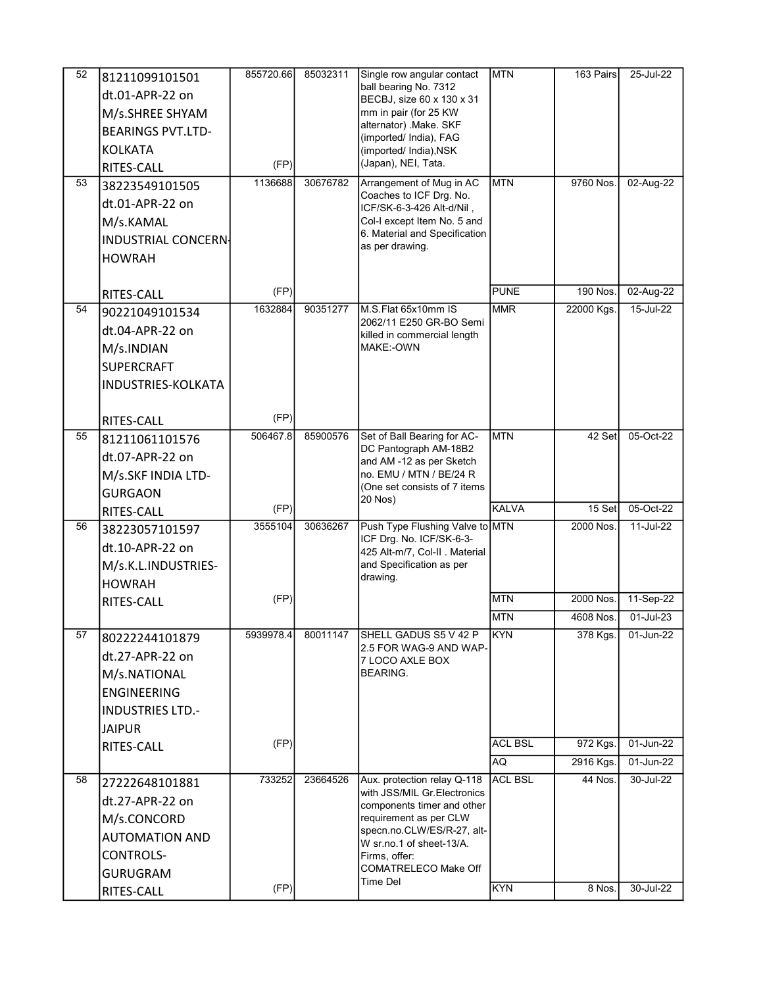| 52 | 81211099101501             | 855720.66 | 85032311 | Single row angular contact                                 | <b>MTN</b>     | 163 Pairs  | 25-Jul-22   |
|----|----------------------------|-----------|----------|------------------------------------------------------------|----------------|------------|-------------|
|    | dt.01-APR-22 on            |           |          | ball bearing No. 7312                                      |                |            |             |
|    | M/s.SHREE SHYAM            |           |          | BECBJ, size 60 x 130 x 31<br>mm in pair (for 25 KW         |                |            |             |
|    | <b>BEARINGS PVT.LTD-</b>   |           |          | alternator) Make. SKF                                      |                |            |             |
|    |                            |           |          | (imported/ India), FAG                                     |                |            |             |
|    | <b>KOLKATA</b>             | (FP)      |          | (imported/ India), NSK<br>(Japan), NEI, Tata.              |                |            |             |
| 53 | <b>RITES-CALL</b>          | 1136688   | 30676782 | Arrangement of Mug in AC                                   | MTN            | 9760 Nos.  |             |
|    | 38223549101505             |           |          | Coaches to ICF Drg. No.                                    |                |            | 02-Aug-22   |
|    | dt.01-APR-22 on            |           |          | ICF/SK-6-3-426 Alt-d/Nil,                                  |                |            |             |
|    | M/s.KAMAL                  |           |          | Col-I except Item No. 5 and                                |                |            |             |
|    | <b>INDUSTRIAL CONCERN-</b> |           |          | 6. Material and Specification<br>as per drawing.           |                |            |             |
|    | <b>HOWRAH</b>              |           |          |                                                            |                |            |             |
|    |                            |           |          |                                                            |                |            |             |
|    | RITES-CALL                 | (FP)      |          |                                                            | <b>PUNE</b>    | 190 Nos.   | 02-Aug-22   |
| 54 | 90221049101534             | 1632884   | 90351277 | M.S.Flat 65x10mm IS                                        | <b>MMR</b>     | 22000 Kgs. | 15-Jul-22   |
|    | dt.04-APR-22 on            |           |          | 2062/11 E250 GR-BO Semi<br>killed in commercial length     |                |            |             |
|    | M/s.INDIAN                 |           |          | MAKE:-OWN                                                  |                |            |             |
|    | <b>SUPERCRAFT</b>          |           |          |                                                            |                |            |             |
|    | <b>INDUSTRIES-KOLKATA</b>  |           |          |                                                            |                |            |             |
|    |                            |           |          |                                                            |                |            |             |
|    | <b>RITES-CALL</b>          | (FP)      |          |                                                            |                |            |             |
| 55 | 81211061101576             | 506467.8  | 85900576 | Set of Ball Bearing for AC-                                | <b>MTN</b>     | 42 Set     | 05-Oct-22   |
|    | dt.07-APR-22 on            |           |          | DC Pantograph AM-18B2                                      |                |            |             |
|    | M/s.SKF INDIA LTD-         |           |          | and AM -12 as per Sketch<br>no. EMU / MTN / BE/24 R        |                |            |             |
|    | <b>GURGAON</b>             |           |          | (One set consists of 7 items                               |                |            |             |
|    | RITES-CALL                 | (FP)      |          | 20 Nos)                                                    | KALVA          | 15 Set     | 05-Oct-22   |
| 56 |                            | 3555104   | 30636267 | Push Type Flushing Valve to MTN                            |                | 2000 Nos.  | 11-Jul-22   |
|    | 38223057101597             |           |          | ICF Drg. No. ICF/SK-6-3-                                   |                |            |             |
|    | dt.10-APR-22 on            |           |          | 425 Alt-m/7, Col-II . Material                             |                |            |             |
|    | M/s.K.L.INDUSTRIES-        |           |          | and Specification as per<br>drawing.                       |                |            |             |
|    | <b>HOWRAH</b>              | (FP)      |          |                                                            | <b>MTN</b>     | 2000 Nos.  | 11-Sep-22   |
|    | RITES-CALL                 |           |          |                                                            | <b>MTN</b>     | 4608 Nos.  | 01-Jul-23   |
| 57 |                            | 5939978.4 | 80011147 | SHELL GADUS S5 V 42 P                                      | <b>KYN</b>     | 378 Kgs.   | 01-Jun-22   |
|    | 80222244101879             |           |          | 2.5 FOR WAG-9 AND WAP-                                     |                |            |             |
|    | dt.27-APR-22 on            |           |          | 7 LOCO AXLE BOX                                            |                |            |             |
|    | M/s.NATIONAL               |           |          | BEARING.                                                   |                |            |             |
|    | <b>ENGINEERING</b>         |           |          |                                                            |                |            |             |
|    | <b>INDUSTRIES LTD.-</b>    |           |          |                                                            |                |            |             |
|    | <b>JAIPUR</b>              |           |          |                                                            |                |            |             |
|    | RITES-CALL                 | (FP)      |          |                                                            | <b>ACL BSL</b> | 972 Kgs.   | $01-Jun-22$ |
|    |                            |           |          |                                                            | AQ.            | 2916 Kgs.  | 01-Jun-22   |
| 58 | 27222648101881             | 733252    | 23664526 | Aux. protection relay Q-118<br>with JSS/MIL Gr.Electronics | <b>ACL BSL</b> | 44 Nos.    | 30-Jul-22   |
|    | dt.27-APR-22 on            |           |          | components timer and other                                 |                |            |             |
|    | M/s.CONCORD                |           |          | requirement as per CLW                                     |                |            |             |
|    | <b>AUTOMATION AND</b>      |           |          | specn.no.CLW/ES/R-27, alt-<br>W sr.no.1 of sheet-13/A.     |                |            |             |
|    |                            |           |          |                                                            |                |            |             |
|    | <b>CONTROLS-</b>           |           |          | Firms, offer:                                              |                |            |             |
|    | <b>GURUGRAM</b>            |           |          | COMATRELECO Make Off<br>Time Del                           |                |            |             |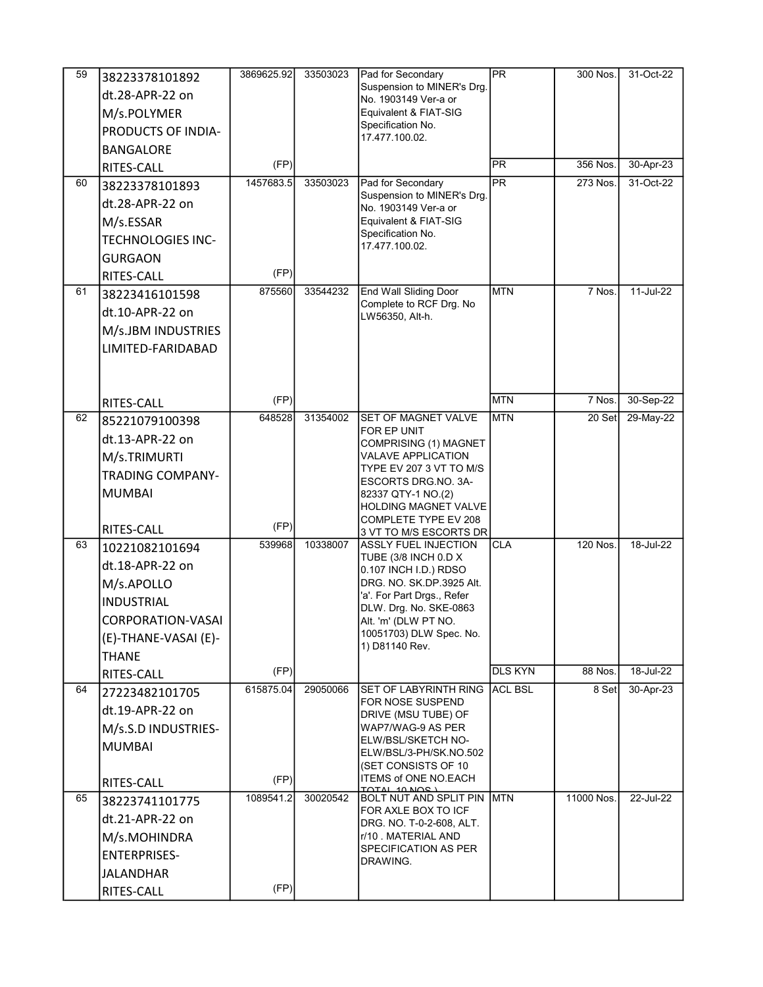| $\overline{59}$ | 38223378101892           | 3869625.92 | 33503023 | Pad for Secondary                                        | <b>PR</b>      | 300 Nos.   | 31-Oct-22 |
|-----------------|--------------------------|------------|----------|----------------------------------------------------------|----------------|------------|-----------|
|                 | dt.28-APR-22 on          |            |          | Suspension to MINER's Drg.                               |                |            |           |
|                 | M/s.POLYMER              |            |          | No. 1903149 Ver-a or<br>Equivalent & FIAT-SIG            |                |            |           |
|                 | PRODUCTS OF INDIA-       |            |          | Specification No.                                        |                |            |           |
|                 | <b>BANGALORE</b>         |            |          | 17.477.100.02.                                           |                |            |           |
|                 |                          | (FP)       |          |                                                          | <b>PR</b>      | 356 Nos.   | 30-Apr-23 |
| 60              | RITES-CALL               | 1457683.5  | 33503023 | Pad for Secondary                                        | <b>IPR</b>     | 273 Nos.   | 31-Oct-22 |
|                 | 38223378101893           |            |          | Suspension to MINER's Drg.                               |                |            |           |
|                 | dt.28-APR-22 on          |            |          | No. 1903149 Ver-a or                                     |                |            |           |
|                 | M/s.ESSAR                |            |          | Equivalent & FIAT-SIG<br>Specification No.               |                |            |           |
|                 | <b>TECHNOLOGIES INC-</b> |            |          | 17.477.100.02.                                           |                |            |           |
|                 | <b>GURGAON</b>           |            |          |                                                          |                |            |           |
|                 | RITES-CALL               | (FP)       |          |                                                          |                |            |           |
| 61              | 38223416101598           | 875560     | 33544232 | <b>End Wall Sliding Door</b><br>Complete to RCF Drg. No  | <b>MTN</b>     | 7 Nos.     | 11-Jul-22 |
|                 | dt.10-APR-22 on          |            |          | LW56350, Alt-h.                                          |                |            |           |
|                 | M/s.JBM INDUSTRIES       |            |          |                                                          |                |            |           |
|                 | LIMITED-FARIDABAD        |            |          |                                                          |                |            |           |
|                 |                          |            |          |                                                          |                |            |           |
|                 |                          |            |          |                                                          |                |            |           |
|                 | RITES-CALL               | (FP)       |          |                                                          | <b>MTN</b>     | 7 Nos.     | 30-Sep-22 |
| 62              | 85221079100398           | 648528     | 31354002 | SET OF MAGNET VALVE                                      | <b>MTN</b>     | 20 Set     | 29-May-22 |
|                 | dt.13-APR-22 on          |            |          | FOR EP UNIT<br>COMPRISING (1) MAGNET                     |                |            |           |
|                 | M/s.TRIMURTI             |            |          | <b>VALAVE APPLICATION</b>                                |                |            |           |
|                 | <b>TRADING COMPANY-</b>  |            |          | TYPE EV 207 3 VT TO M/S                                  |                |            |           |
|                 | <b>MUMBAI</b>            |            |          | ESCORTS DRG NO. 3A-<br>82337 QTY-1 NO.(2)                |                |            |           |
|                 |                          |            |          | HOLDING MAGNET VALVE                                     |                |            |           |
|                 | RITES-CALL               | (FP)       |          | COMPLETE TYPE EV 208                                     |                |            |           |
| 63              | 10221082101694           | 539968     | 10338007 | 3 VT TO M/S ESCORTS DR<br><b>ASSLY FUEL INJECTION</b>    | <b>CLA</b>     | 120 Nos.   | 18-Jul-22 |
|                 | dt.18-APR-22 on          |            |          | TUBE (3/8 INCH 0.D X                                     |                |            |           |
|                 | M/s.APOLLO               |            |          | 0.107 INCH I.D.) RDSO<br>DRG. NO. SK.DP.3925 Alt.        |                |            |           |
|                 | <b>INDUSTRIAL</b>        |            |          | 'a'. For Part Drgs., Refer                               |                |            |           |
|                 |                          |            |          | DLW. Drg. No. SKE-0863                                   |                |            |           |
|                 | <b>CORPORATION-VASAI</b> |            |          | Alt. 'm' (DLW PT NO.<br>10051703) DLW Spec. No.          |                |            |           |
|                 | (E)-THANE-VASAI (E)-     |            |          | 1) D81140 Rev.                                           |                |            |           |
|                 | <b>THANE</b>             | (FP)       |          |                                                          | <b>DLS KYN</b> | 88 Nos.    | 18-Jul-22 |
|                 | RITES-CALL               | 615875.04  |          |                                                          | <b>ACL BSL</b> |            |           |
| 64              | 27223482101705           |            | 29050066 | SET OF LABYRINTH RING<br>FOR NOSE SUSPEND                |                | 8 Set      | 30-Apr-23 |
|                 | dt.19-APR-22 on          |            |          | DRIVE (MSU TUBE) OF                                      |                |            |           |
|                 | M/s.S.D INDUSTRIES-      |            |          | WAP7/WAG-9 AS PER<br>ELW/BSL/SKETCH NO-                  |                |            |           |
|                 | <b>MUMBAI</b>            |            |          | ELW/BSL/3-PH/SK.NO.502                                   |                |            |           |
|                 |                          |            |          | (SET CONSISTS OF 10                                      |                |            |           |
|                 | RITES-CALL               | (FP)       |          | <b>ITEMS of ONE NO EACH</b><br>TATAL 10 NOS 1            |                |            |           |
| 65              | 38223741101775           | 1089541.2  | 30020542 | <b>BOLT NUT AND SPLIT PIN MTN</b><br>FOR AXLE BOX TO ICF |                | 11000 Nos. | 22-Jul-22 |
|                 | dt.21-APR-22 on          |            |          | DRG. NO. T-0-2-608, ALT.                                 |                |            |           |
|                 | M/s.MOHINDRA             |            |          | r/10 . MATERIAL AND                                      |                |            |           |
|                 | <b>ENTERPRISES-</b>      |            |          | SPECIFICATION AS PER<br>DRAWING.                         |                |            |           |
|                 | <b>JALANDHAR</b>         |            |          |                                                          |                |            |           |
|                 | RITES-CALL               | (FP)       |          |                                                          |                |            |           |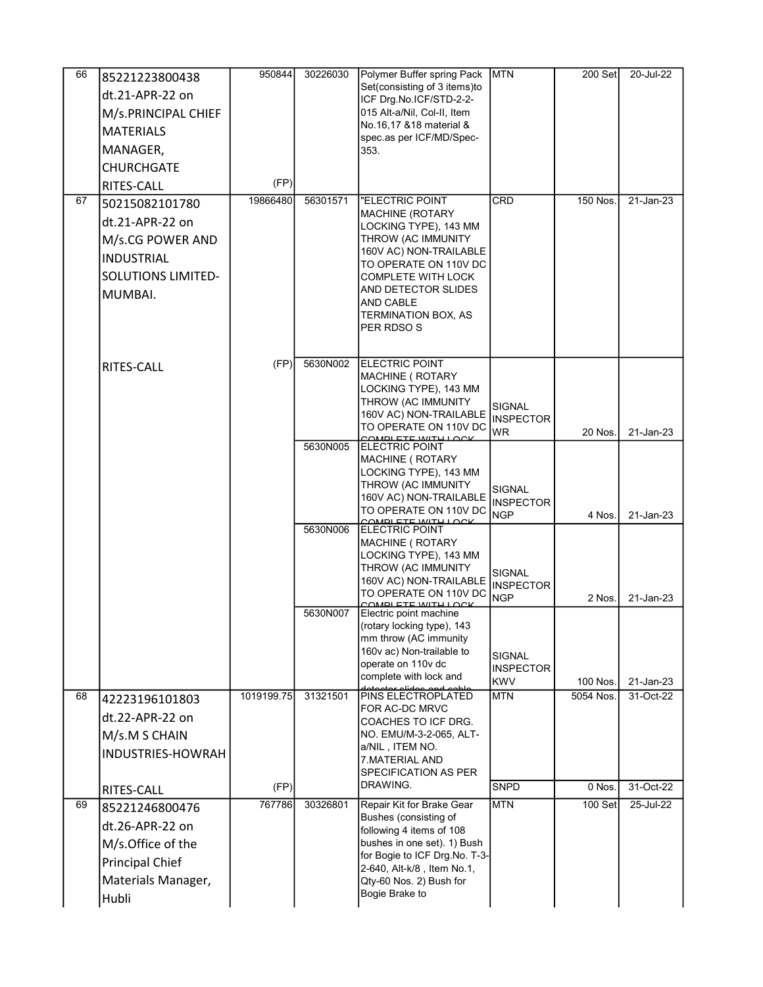| 66 | 85221223800438            | 950844     | 30226030 | Polymer Buffer spring Pack                                  | <b>MTN</b>                     | 200 Set   | 20-Jul-22 |
|----|---------------------------|------------|----------|-------------------------------------------------------------|--------------------------------|-----------|-----------|
|    | dt.21-APR-22 on           |            |          | Set(consisting of 3 items)to                                |                                |           |           |
|    |                           |            |          | ICF Drg.No.ICF/STD-2-2-<br>015 Alt-a/Nil, Col-II, Item      |                                |           |           |
|    | M/s.PRINCIPAL CHIEF       |            |          | No.16,17 &18 material &                                     |                                |           |           |
|    | <b>MATERIALS</b>          |            |          | spec.as per ICF/MD/Spec-                                    |                                |           |           |
|    | MANAGER,                  |            |          | 353.                                                        |                                |           |           |
|    | <b>CHURCHGATE</b>         |            |          |                                                             |                                |           |           |
|    | RITES-CALL                | (FP)       |          |                                                             |                                |           |           |
| 67 | 50215082101780            | 19866480   | 56301571 | "ELECTRIC POINT<br><b>MACHINE (ROTARY</b>                   | <b>CRD</b>                     | 150 Nos.  | 21-Jan-23 |
|    | dt.21-APR-22 on           |            |          | LOCKING TYPE), 143 MM                                       |                                |           |           |
|    | M/s.CG POWER AND          |            |          | THROW (AC IMMUNITY                                          |                                |           |           |
|    | <b>INDUSTRIAL</b>         |            |          | 160V AC) NON-TRAILABLE                                      |                                |           |           |
|    | <b>SOLUTIONS LIMITED-</b> |            |          | TO OPERATE ON 110V DC<br><b>COMPLETE WITH LOCK</b>          |                                |           |           |
|    | MUMBAI.                   |            |          | AND DETECTOR SLIDES                                         |                                |           |           |
|    |                           |            |          | AND CABLE                                                   |                                |           |           |
|    |                           |            |          | <b>TERMINATION BOX, AS</b><br>PER RDSO S                    |                                |           |           |
|    |                           |            |          |                                                             |                                |           |           |
|    |                           | (FP)       | 5630N002 | <b>ELECTRIC POINT</b>                                       |                                |           |           |
|    | RITES-CALL                |            |          | MACHINE ( ROTARY                                            |                                |           |           |
|    |                           |            |          | LOCKING TYPE), 143 MM                                       |                                |           |           |
|    |                           |            |          | THROW (AC IMMUNITY                                          | SIGNAL                         |           |           |
|    |                           |            |          | 160V AC) NON-TRAILABLE<br>TO OPERATE ON 110V DC             | <b>INSPECTOR</b><br><b>WR</b>  |           |           |
|    |                           |            | 5630N005 | COMBLETE WITH LOCK<br><b>ELECTRIC POINT</b>                 |                                | 20 Nos.   | 21-Jan-23 |
|    |                           |            |          | MACHINE ( ROTARY                                            |                                |           |           |
|    |                           |            |          | LOCKING TYPE), 143 MM                                       |                                |           |           |
|    |                           |            |          | THROW (AC IMMUNITY<br>160V AC) NON-TRAILABLE                | SIGNAL                         |           |           |
|    |                           |            |          | TO OPERATE ON 110V DC                                       | <b>INSPECTOR</b><br><b>NGP</b> | 4 Nos.    | 21-Jan-23 |
|    |                           |            | 5630N006 | COMBLETE WITH LOCK<br><b>ELECTRIC POINT</b>                 |                                |           |           |
|    |                           |            |          | MACHINE ( ROTARY                                            |                                |           |           |
|    |                           |            |          | LOCKING TYPE), 143 MM                                       |                                |           |           |
|    |                           |            |          | THROW (AC IMMUNITY<br>160V AC) NON-TRAILABLE                | SIGNAL                         |           |           |
|    |                           |            |          | TO OPERATE ON 110V DC                                       | <b>INSPECTOR</b><br><b>NGP</b> | 2 Nos.    | 21-Jan-23 |
|    |                           |            | 5630N007 | COMPLETE WITH LOC<br>Electric point machine                 |                                |           |           |
|    |                           |            |          | (rotary locking type), 143                                  |                                |           |           |
|    |                           |            |          | mm throw (AC immunity                                       |                                |           |           |
|    |                           |            |          | 160v ac) Non-trailable to<br>operate on 110v dc             | SIGNAL                         |           |           |
|    |                           |            |          | complete with lock and                                      | <b>INSPECTOR</b><br><b>KWV</b> | 100 Nos.  | 21-Jan-23 |
| 68 | 42223196101803            | 1019199.75 | 31321501 | detector elides and cable<br>PINS ELECTROPLATED             | <b>MTN</b>                     | 5054 Nos. | 31-Oct-22 |
|    | dt.22-APR-22 on           |            |          | FOR AC-DC MRVC                                              |                                |           |           |
|    |                           |            |          | COACHES TO ICF DRG.<br>NO. EMU/M-3-2-065, ALT-              |                                |           |           |
|    | M/s.M S CHAIN             |            |          | a/NIL, ITEM NO.                                             |                                |           |           |
|    | <b>INDUSTRIES-HOWRAH</b>  |            |          | 7. MATERIAL AND                                             |                                |           |           |
|    |                           |            |          | SPECIFICATION AS PER<br>DRAWING.                            |                                |           |           |
|    | RITES-CALL                | (FP)       |          |                                                             | <b>SNPD</b>                    | 0 Nos.    | 31-Oct-22 |
| 69 | 85221246800476            | 767786     | 30326801 | Repair Kit for Brake Gear<br>Bushes (consisting of          | <b>MTN</b>                     | 100 Set   | 25-Jul-22 |
|    | dt.26-APR-22 on           |            |          | following 4 items of 108                                    |                                |           |           |
|    | M/s.Office of the         |            |          | bushes in one set). 1) Bush                                 |                                |           |           |
|    | <b>Principal Chief</b>    |            |          | for Bogie to ICF Drg.No. T-3-<br>2-640, Alt-k/8, Item No.1, |                                |           |           |
|    | Materials Manager,        |            |          | Qty-60 Nos. 2) Bush for                                     |                                |           |           |
|    | Hubli                     |            |          | Bogie Brake to                                              |                                |           |           |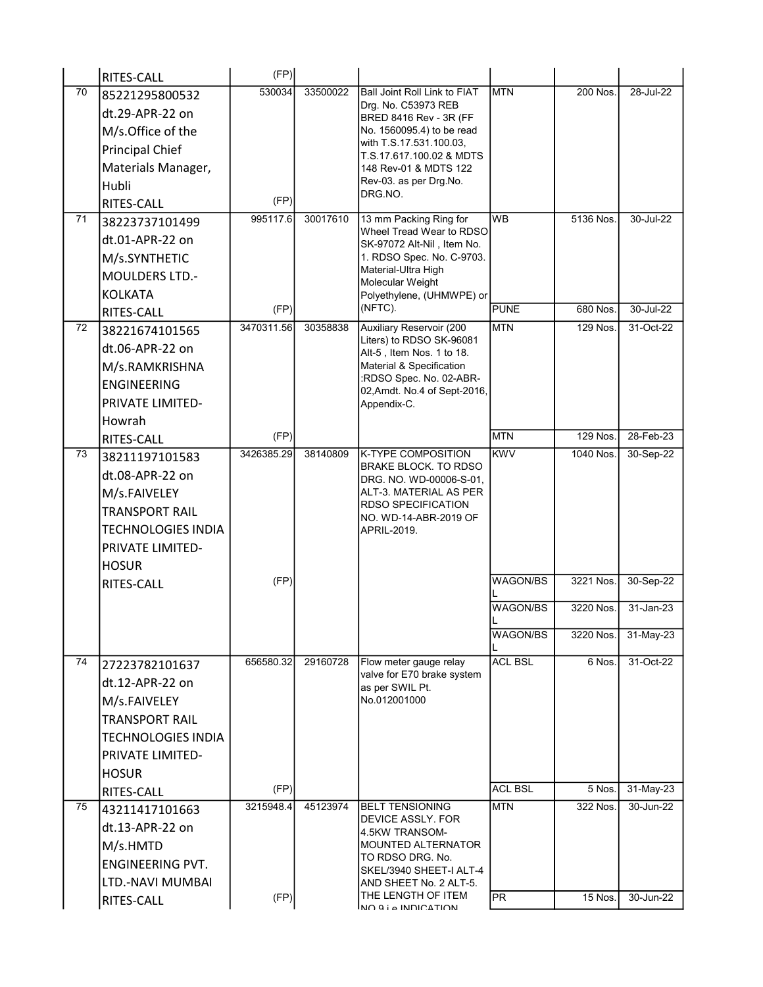|                 | RITES-CALL                | (FP)               |          |                                                         |                 |           |           |
|-----------------|---------------------------|--------------------|----------|---------------------------------------------------------|-----------------|-----------|-----------|
| 70              | 85221295800532            | 530034             | 33500022 | Ball Joint Roll Link to FIAT                            | <b>MTN</b>      | 200 Nos.  | 28-Jul-22 |
|                 | dt.29-APR-22 on           |                    |          | Drg. No. C53973 REB<br>BRED 8416 Rev - 3R (FF           |                 |           |           |
|                 | M/s.Office of the         |                    |          | No. 1560095.4) to be read                               |                 |           |           |
|                 | <b>Principal Chief</b>    |                    |          | with T.S.17.531.100.03,                                 |                 |           |           |
|                 | Materials Manager,        |                    |          | T.S.17.617.100.02 & MDTS<br>148 Rev-01 & MDTS 122       |                 |           |           |
|                 | Hubli                     |                    |          | Rev-03. as per Drg. No.                                 |                 |           |           |
|                 | RITES-CALL                | (FP)               |          | DRG.NO.                                                 |                 |           |           |
| 71              | 38223737101499            | 995117.6           | 30017610 | 13 mm Packing Ring for                                  | <b>WB</b>       | 5136 Nos. | 30-Jul-22 |
|                 | dt.01-APR-22 on           |                    |          | Wheel Tread Wear to RDSO                                |                 |           |           |
|                 |                           |                    |          | SK-97072 Alt-Nil, Item No.<br>1. RDSO Spec. No. C-9703. |                 |           |           |
|                 | M/s.SYNTHETIC             |                    |          | Material-Ultra High                                     |                 |           |           |
|                 | MOULDERS LTD.-            |                    |          | Molecular Weight                                        |                 |           |           |
|                 | <b>KOLKATA</b>            |                    |          | Polyethylene, (UHMWPE) or<br>(NFTC).                    | <b>PUNE</b>     | 680 Nos.  | 30-Jul-22 |
| 72              | <b>RITES-CALL</b>         | (FP)<br>3470311.56 | 30358838 | <b>Auxiliary Reservoir (200</b>                         | <b>MTN</b>      | 129 Nos.  | 31-Oct-22 |
|                 | 38221674101565            |                    |          | Liters) to RDSO SK-96081                                |                 |           |           |
|                 | dt.06-APR-22 on           |                    |          | Alt-5, Item Nos. 1 to 18.                               |                 |           |           |
|                 | M/s.RAMKRISHNA            |                    |          | Material & Specification<br>:RDSO Spec. No. 02-ABR-     |                 |           |           |
|                 | <b>ENGINEERING</b>        |                    |          | 02, Amdt. No. 4 of Sept-2016,                           |                 |           |           |
|                 | PRIVATE LIMITED-          |                    |          | Appendix-C.                                             |                 |           |           |
|                 | Howrah                    |                    |          |                                                         |                 |           |           |
|                 | <b>RITES-CALL</b>         | (FP)               |          |                                                         | <b>MTN</b>      | 129 Nos.  | 28-Feb-23 |
| 73              | 38211197101583            | 3426385.29         | 38140809 | <b>K-TYPE COMPOSITION</b><br>BRAKE BLOCK. TO RDSO       | <b>KWV</b>      | 1040 Nos. | 30-Sep-22 |
|                 | dt.08-APR-22 on           |                    |          | DRG. NO. WD-00006-S-01,                                 |                 |           |           |
|                 | M/s.FAIVELEY              |                    |          | ALT-3. MATERIAL AS PER                                  |                 |           |           |
|                 | <b>TRANSPORT RAIL</b>     |                    |          | <b>RDSO SPECIFICATION</b><br>NO. WD-14-ABR-2019 OF      |                 |           |           |
|                 | <b>TECHNOLOGIES INDIA</b> |                    |          | APRIL-2019.                                             |                 |           |           |
|                 | PRIVATE LIMITED-          |                    |          |                                                         |                 |           |           |
|                 | <b>HOSUR</b>              |                    |          |                                                         |                 |           |           |
|                 | RITES-CALL                | (FP)               |          |                                                         | WAGON/BS        | 3221 Nos. | 30-Sep-22 |
|                 |                           |                    |          |                                                         | <b>WAGON/BS</b> | 3220 Nos. | 31-Jan-23 |
|                 |                           |                    |          |                                                         |                 |           |           |
|                 |                           |                    |          |                                                         | WAGON/BS        | 3220 Nos. | 31-May-23 |
| $\overline{74}$ |                           | 656580.32          | 29160728 | Flow meter gauge relay                                  | <b>ACL BSL</b>  | 6 Nos.    | 31-Oct-22 |
|                 | 27223782101637            |                    |          | valve for E70 brake system                              |                 |           |           |
|                 | dt.12-APR-22 on           |                    |          | as per SWIL Pt.                                         |                 |           |           |
|                 | M/s.FAIVELEY              |                    |          | No.012001000                                            |                 |           |           |
|                 | <b>TRANSPORT RAIL</b>     |                    |          |                                                         |                 |           |           |
|                 | <b>TECHNOLOGIES INDIA</b> |                    |          |                                                         |                 |           |           |
|                 | PRIVATE LIMITED-          |                    |          |                                                         |                 |           |           |
|                 | <b>HOSUR</b>              |                    |          |                                                         |                 |           |           |
|                 | <b>RITES-CALL</b>         | (FP)               |          |                                                         | <b>ACL BSL</b>  | 5 Nos.    | 31-May-23 |
| 75              | 43211417101663            | 3215948.4          | 45123974 | <b>BELT TENSIONING</b>                                  | <b>MTN</b>      | 322 Nos.  | 30-Jun-22 |
|                 | dt.13-APR-22 on           |                    |          | DEVICE ASSLY. FOR<br>4.5KW TRANSOM-                     |                 |           |           |
|                 | M/s.HMTD                  |                    |          | MOUNTED ALTERNATOR                                      |                 |           |           |
|                 | <b>ENGINEERING PVT.</b>   |                    |          | TO RDSO DRG. No.<br>SKEL/3940 SHEET-I ALT-4             |                 |           |           |
|                 | LTD.-NAVI MUMBAI          |                    |          | AND SHEET No. 2 ALT-5.                                  |                 |           |           |
|                 | RITES-CALL                | (FP)               |          | THE LENGTH OF ITEM                                      | IPR.            | 15 Nos.   | 30-Jun-22 |
|                 |                           |                    |          | MO Q i A INDICATION                                     |                 |           |           |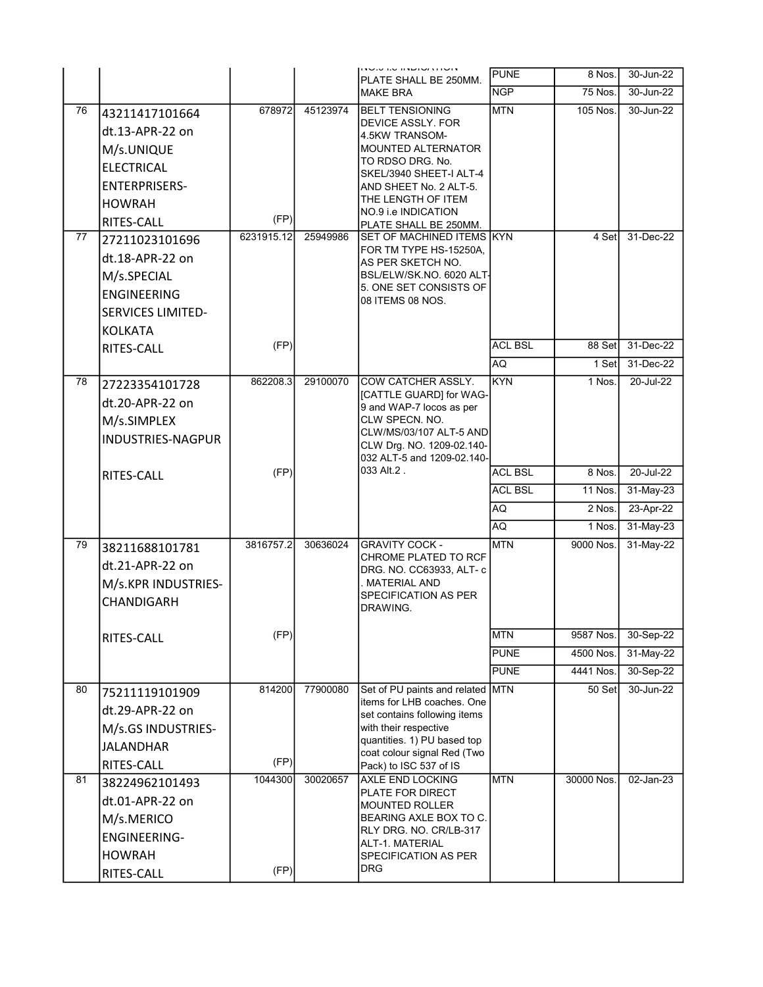|    |                          |            |          | וועודהטושווי סודטטוו<br>PLATE SHALL BE 250MM.                  | <b>PUNE</b>    | 8 Nos.         | 30-Jun-22     |
|----|--------------------------|------------|----------|----------------------------------------------------------------|----------------|----------------|---------------|
|    |                          |            |          | <b>MAKE BRA</b>                                                | <b>NGP</b>     | <b>75 Nos.</b> | 30-Jun-22     |
| 76 | 43211417101664           | 678972     | 45123974 | <b>BELT TENSIONING</b>                                         | <b>MTN</b>     | 105 Nos.       | 30-Jun-22     |
|    | dt.13-APR-22 on          |            |          | DEVICE ASSLY. FOR                                              |                |                |               |
|    | M/s.UNIQUE               |            |          | 4.5KW TRANSOM-<br><b>MOUNTED ALTERNATOR</b>                    |                |                |               |
|    |                          |            |          | TO RDSO DRG. No.                                               |                |                |               |
|    | <b>ELECTRICAL</b>        |            |          | SKEL/3940 SHEET-I ALT-4                                        |                |                |               |
|    | <b>ENTERPRISERS-</b>     |            |          | AND SHEET No. 2 ALT-5.<br>THE LENGTH OF ITEM                   |                |                |               |
|    | <b>HOWRAH</b>            |            |          | NO.9 i.e INDICATION                                            |                |                |               |
|    | RITES-CALL               | (FP)       |          | PLATE SHALL BE 250MM.                                          |                |                |               |
| 77 | 27211023101696           | 6231915.12 | 25949986 | SET OF MACHINED ITEMS KYN<br>FOR TM TYPE HS-15250A,            |                | 4 Set          | 31-Dec-22     |
|    | dt.18-APR-22 on          |            |          | AS PER SKETCH NO.                                              |                |                |               |
|    | M/s.SPECIAL              |            |          | BSL/ELW/SK.NO. 6020 ALT-                                       |                |                |               |
|    | <b>ENGINEERING</b>       |            |          | 5. ONE SET CONSISTS OF<br>08 ITEMS 08 NOS.                     |                |                |               |
|    | <b>SERVICES LIMITED-</b> |            |          |                                                                |                |                |               |
|    | <b>KOLKATA</b>           |            |          |                                                                |                |                |               |
|    | RITES-CALL               | (FP)       |          |                                                                | <b>ACL BSL</b> | 88 Set         | 31-Dec-22     |
|    |                          |            |          |                                                                | AQ             | 1 Set          | 31-Dec-22     |
| 78 | 27223354101728           | 862208.3   | 29100070 | COW CATCHER ASSLY.                                             | <b>KYN</b>     | 1 Nos.         | $20 -$ Jul-22 |
|    | dt.20-APR-22 on          |            |          | [CATTLE GUARD] for WAG-<br>9 and WAP-7 locos as per            |                |                |               |
|    | M/s.SIMPLEX              |            |          | CLW SPECN, NO.                                                 |                |                |               |
|    | <b>INDUSTRIES-NAGPUR</b> |            |          | CLW/MS/03/107 ALT-5 AND                                        |                |                |               |
|    |                          |            |          | CLW Drg. NO. 1209-02.140-<br>032 ALT-5 and 1209-02.140-        |                |                |               |
|    | RITES-CALL               | (FP)       |          | 033 Alt.2.                                                     | <b>ACL BSL</b> | 8 Nos.         | 20-Jul-22     |
|    |                          |            |          |                                                                | <b>ACL BSL</b> | 11 Nos.        | 31-May-23     |
|    |                          |            |          |                                                                | AQ             | 2 Nos.         | $23-Apr-22$   |
|    |                          |            |          |                                                                | AQ.            | 1 Nos.         | 31-May-23     |
| 79 | 38211688101781           | 3816757.2  | 30636024 | <b>GRAVITY COCK -</b>                                          | <b>MTN</b>     | 9000 Nos.      | 31-May-22     |
|    |                          |            |          | CHROME PLATED TO RCF                                           |                |                |               |
|    | dt.21-APR-22 on          |            |          | DRG. NO. CC63933, ALT- c<br>. MATERIAL AND                     |                |                |               |
|    | M/s.KPR INDUSTRIES-      |            |          | SPECIFICATION AS PER                                           |                |                |               |
|    | CHANDIGARH               |            |          | DRAWING.                                                       |                |                |               |
|    |                          | (FP)       |          |                                                                | <b>MTN</b>     | 9587 Nos.      | 30-Sep-22     |
|    | RITES-CALL               |            |          |                                                                | <b>PUNE</b>    | 4500 Nos.      | 31-May-22     |
|    |                          |            |          |                                                                | <b>PUNE</b>    | 4441 Nos.      | 30-Sep-22     |
|    |                          |            |          |                                                                |                |                |               |
| 80 | 75211119101909           | 814200     | 77900080 | Set of PU paints and related MTN<br>items for LHB coaches. One |                | 50 Set         | 30-Jun-22     |
|    | dt.29-APR-22 on          |            |          | set contains following items                                   |                |                |               |
|    | M/s.GS INDUSTRIES-       |            |          | with their respective                                          |                |                |               |
|    | <b>JALANDHAR</b>         |            |          | quantities. 1) PU based top<br>coat colour signal Red (Two     |                |                |               |
|    | RITES-CALL               | (FP)       |          | Pack) to ISC 537 of IS                                         |                |                |               |
| 81 | 38224962101493           | 1044300    | 30020657 | <b>AXLE END LOCKING</b><br>PLATE FOR DIRECT                    | <b>MTN</b>     | 30000 Nos.     | $02$ -Jan-23  |
|    | dt.01-APR-22 on          |            |          | <b>MOUNTED ROLLER</b>                                          |                |                |               |
|    | M/s.MERICO               |            |          | BEARING AXLE BOX TO C.                                         |                |                |               |
|    | <b>ENGINEERING-</b>      |            |          | RLY DRG. NO. CR/LB-317<br>ALT-1. MATERIAL                      |                |                |               |
|    | <b>HOWRAH</b>            |            |          | SPECIFICATION AS PER                                           |                |                |               |
|    | RITES-CALL               | (FP)       |          | <b>DRG</b>                                                     |                |                |               |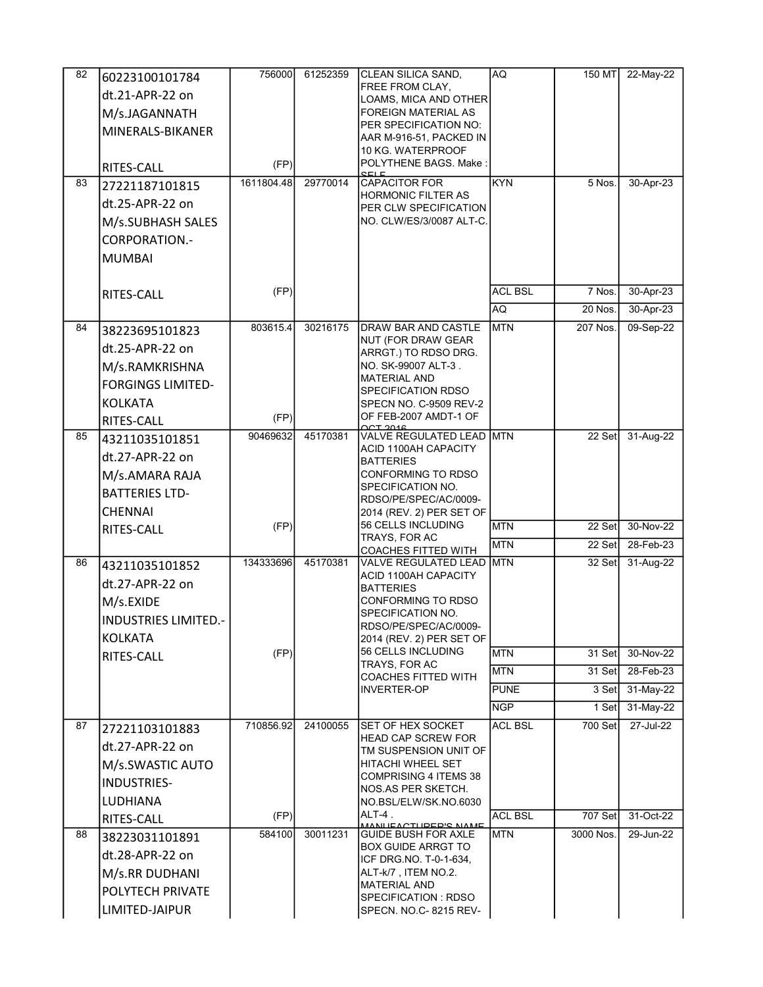| 82 | 60223100101784              | 756000     | 61252359 | <b>CLEAN SILICA SAND,</b>                           | AQ.            | 150 MT    | 22-May-22     |
|----|-----------------------------|------------|----------|-----------------------------------------------------|----------------|-----------|---------------|
|    | dt.21-APR-22 on             |            |          | FREE FROM CLAY,                                     |                |           |               |
|    | M/s.JAGANNATH               |            |          | LOAMS, MICA AND OTHER<br>FOREIGN MATERIAL AS        |                |           |               |
|    |                             |            |          | PER SPECIFICATION NO:                               |                |           |               |
|    | MINERALS-BIKANER            |            |          | AAR M-916-51, PACKED IN                             |                |           |               |
|    |                             |            |          | 10 KG. WATERPROOF                                   |                |           |               |
|    | RITES-CALL                  | (FP)       |          | POLYTHENE BAGS. Make:                               |                |           |               |
| 83 | 27221187101815              | 1611804.48 | 29770014 | <b>CAPACITOR FOR</b><br><b>HORMONIC FILTER AS</b>   | <b>KYN</b>     | 5 Nos.    | 30-Apr-23     |
|    | dt.25-APR-22 on             |            |          | PER CLW SPECIFICATION                               |                |           |               |
|    | M/s.SUBHASH SALES           |            |          | NO. CLW/ES/3/0087 ALT-C.                            |                |           |               |
|    | <b>CORPORATION.-</b>        |            |          |                                                     |                |           |               |
|    | <b>MUMBAI</b>               |            |          |                                                     |                |           |               |
|    |                             |            |          |                                                     |                |           |               |
|    | RITES-CALL                  | (FP)       |          |                                                     | <b>ACL BSL</b> | 7 Nos.    | 30-Apr-23     |
|    |                             |            |          |                                                     | AQ.            | 20 Nos.   | 30-Apr-23     |
| 84 |                             | 803615.4   | 30216175 | <b>DRAW BAR AND CASTLE</b>                          | <b>MTN</b>     | 207 Nos.  | 09-Sep-22     |
|    | 38223695101823              |            |          | NUT (FOR DRAW GEAR                                  |                |           |               |
|    | dt.25-APR-22 on             |            |          | ARRGT.) TO RDSO DRG.                                |                |           |               |
|    | M/s.RAMKRISHNA              |            |          | NO. SK-99007 ALT-3.<br><b>MATERIAL AND</b>          |                |           |               |
|    | <b>FORGINGS LIMITED-</b>    |            |          | SPECIFICATION RDSO                                  |                |           |               |
|    | <b>KOLKATA</b>              |            |          | SPECN NO. C-9509 REV-2                              |                |           |               |
|    | RITES-CALL                  | (FP)       |          | OF FEB-2007 AMDT-1 OF                               |                |           |               |
| 85 | 43211035101851              | 90469632   | 45170381 | VALVE REGULATED LEAD MTN                            |                | 22 Set    | 31-Aug-22     |
|    | dt.27-APR-22 on             |            |          | ACID 1100AH CAPACITY<br><b>BATTERIES</b>            |                |           |               |
|    | M/s.AMARA RAJA              |            |          | CONFORMING TO RDSO                                  |                |           |               |
|    | <b>BATTERIES LTD-</b>       |            |          | SPECIFICATION NO.                                   |                |           |               |
|    | <b>CHENNAI</b>              |            |          | RDSO/PE/SPEC/AC/0009-<br>2014 (REV. 2) PER SET OF   |                |           |               |
|    | RITES-CALL                  | (FP)       |          | 56 CELLS INCLUDING                                  | <b>MTN</b>     | $22$ Set  | 30-Nov-22     |
|    |                             |            |          | TRAYS, FOR AC                                       | <b>IMTN</b>    | 22 Set    | 28-Feb-23     |
| 86 |                             | 134333696  | 45170381 | <b>COACHES FITTED WITH</b><br>VALVE REGULATED LEAD  | <b>MTN</b>     | 32 Set    | 31-Aug-22     |
|    | 43211035101852              |            |          | ACID 1100AH CAPACITY                                |                |           |               |
|    | dt.27-APR-22 on             |            |          | <b>BATTERIES</b>                                    |                |           |               |
|    | M/s.EXIDE                   |            |          | CONFORMING TO RDSO<br>SPECIFICATION NO.             |                |           |               |
|    | <b>INDUSTRIES LIMITED.-</b> |            |          | RDSO/PE/SPEC/AC/0009-                               |                |           |               |
|    | <b>KOLKATA</b>              |            |          | 2014 (REV. 2) PER SET OF                            |                |           |               |
|    | RITES-CALL                  | (FP)       |          | 56 CELLS INCLUDING<br>TRAYS, FOR AC                 | <b>MTN</b>     | 31 Set    | 30-Nov-22     |
|    |                             |            |          | <b>COACHES FITTED WITH</b>                          | <b>MTN</b>     | 31 Set    | 28-Feb-23     |
|    |                             |            |          | <b>INVERTER-OP</b>                                  | <b>PUNE</b>    | $3$ Set   | $31-May-22$   |
|    |                             |            |          |                                                     | <b>NGP</b>     | 1 Set     | 31-May-22     |
| 87 | 27221103101883              | 710856.92  | 24100055 | <b>SET OF HEX SOCKET</b>                            | <b>ACL BSL</b> | 700 Set   | 27-Jul-22     |
|    | dt.27-APR-22 on             |            |          | HEAD CAP SCREW FOR                                  |                |           |               |
|    | M/s.SWASTIC AUTO            |            |          | TM SUSPENSION UNIT OF<br><b>HITACHI WHEEL SET</b>   |                |           |               |
|    |                             |            |          | <b>COMPRISING 4 ITEMS 38</b>                        |                |           |               |
|    | <b>INDUSTRIES-</b>          |            |          | NOS AS PER SKETCH.                                  |                |           |               |
|    | LUDHIANA                    |            |          | NO.BSL/ELW/SK.NO.6030<br>ALT-4.                     |                |           |               |
|    | RITES-CALL                  | (FP)       |          | <u>MANI IEACTLIDED'S NAME</u>                       | <b>ACL BSL</b> | 707 Set   | 31-Oct-22     |
| 88 | 38223031101891              | 584100     | 30011231 | <b>GUIDE BUSH FOR AXLE</b>                          | MTN            | 3000 Nos. | $29 - Jun-22$ |
|    |                             |            |          |                                                     |                |           |               |
|    | dt.28-APR-22 on             |            |          | <b>BOX GUIDE ARRGT TO</b><br>ICF DRG NO. T-0-1-634, |                |           |               |
|    | M/s.RR DUDHANI              |            |          | ALT-k/7, ITEM NO.2.                                 |                |           |               |
|    | POLYTECH PRIVATE            |            |          | <b>MATERIAL AND</b><br>SPECIFICATION : RDSO         |                |           |               |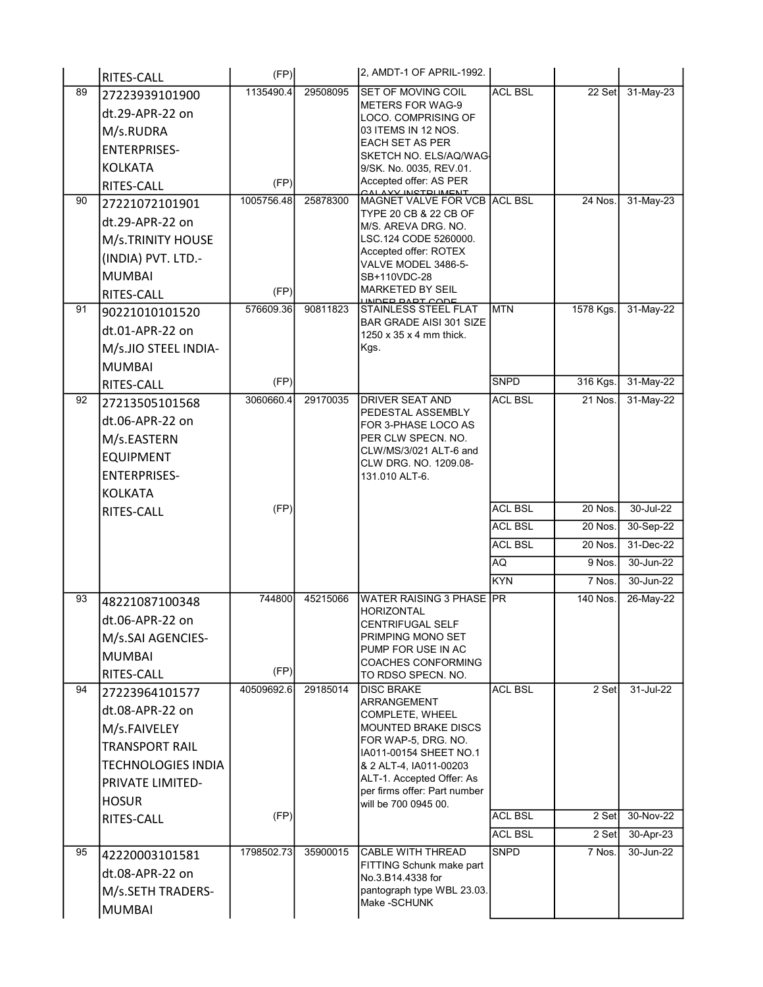|    | RITES-CALL                   | (FP)              |          | 2, AMDT-1 OF APRIL-1992.                              |                               |                     |                        |
|----|------------------------------|-------------------|----------|-------------------------------------------------------|-------------------------------|---------------------|------------------------|
| 89 | 27223939101900               | 1135490.4         | 29508095 | SET OF MOVING COIL                                    | <b>ACL BSL</b>                | 22 Set              | 31-May-23              |
|    | dt.29-APR-22 on              |                   |          | <b>METERS FOR WAG-9</b><br>LOCO. COMPRISING OF        |                               |                     |                        |
|    | M/s.RUDRA                    |                   |          | 03 ITEMS IN 12 NOS.                                   |                               |                     |                        |
|    | <b>ENTERPRISES-</b>          |                   |          | EACH SET AS PER                                       |                               |                     |                        |
|    | <b>KOLKATA</b>               |                   |          | SKETCH NO. ELS/AQ/WAG-<br>9/SK. No. 0035, REV.01.     |                               |                     |                        |
|    | RITES-CALL                   | (FP)              |          | Accepted offer: AS PER                                |                               |                     |                        |
| 90 | 27221072101901               | 1005756.48        | 25878300 | <b>VV INCTOLIMENT</b><br>MAGNET VALVE FOR VCB ACL BSL |                               | $24$ Nos.           | 31-May-23              |
|    | dt.29-APR-22 on              |                   |          | TYPE 20 CB & 22 CB OF                                 |                               |                     |                        |
|    | M/s.TRINITY HOUSE            |                   |          | M/S. AREVA DRG. NO.<br>LSC.124 CODE 5260000.          |                               |                     |                        |
|    | (INDIA) PVT. LTD.-           |                   |          | Accepted offer: ROTEX                                 |                               |                     |                        |
|    |                              |                   |          | VALVE MODEL 3486-5-                                   |                               |                     |                        |
|    | <b>MUMBAI</b>                | (FP)              |          | SB+110VDC-28<br>MARKETED BY SEIL                      |                               |                     |                        |
| 91 | RITES-CALL<br>90221010101520 | 576609.36         | 90811823 | LINDER RART CODE<br>STAINLESS STEEL FLAT              | <b>IMTN</b>                   | 1578 Kgs.           | 31-May-22              |
|    |                              |                   |          | <b>BAR GRADE AISI 301 SIZE</b>                        |                               |                     |                        |
|    | dt.01-APR-22 on              |                   |          | $1250 \times 35 \times 4$ mm thick.                   |                               |                     |                        |
|    | M/s.JIO STEEL INDIA-         |                   |          | Kgs.                                                  |                               |                     |                        |
|    | <b>MUMBAI</b>                |                   |          |                                                       |                               |                     |                        |
| 92 | <b>RITES-CALL</b>            | (FP)<br>3060660.4 | 29170035 | <b>DRIVER SEAT AND</b>                                | <b>SNPD</b><br><b>ACL BSL</b> | 316 Kgs.<br>21 Nos. | 31-May-22<br>31-May-22 |
|    | 27213505101568               |                   |          | PEDESTAL ASSEMBLY                                     |                               |                     |                        |
|    | dt.06-APR-22 on              |                   |          | FOR 3-PHASE LOCO AS                                   |                               |                     |                        |
|    | M/s.EASTERN                  |                   |          | PER CLW SPECN. NO.<br>CLW/MS/3/021 ALT-6 and          |                               |                     |                        |
|    | <b>EQUIPMENT</b>             |                   |          | CLW DRG. NO. 1209.08-                                 |                               |                     |                        |
|    | <b>ENTERPRISES-</b>          |                   |          | 131.010 ALT-6.                                        |                               |                     |                        |
|    | <b>KOLKATA</b>               |                   |          |                                                       |                               |                     |                        |
|    | <b>RITES-CALL</b>            | (FP)              |          |                                                       | <b>ACL BSL</b>                | 20 Nos.             | 30-Jul-22              |
|    |                              |                   |          |                                                       | <b>ACL BSL</b>                | 20 Nos.             | 30-Sep-22              |
|    |                              |                   |          |                                                       | <b>ACL BSL</b>                | 20 Nos.             | 31-Dec-22              |
|    |                              |                   |          |                                                       | AQ                            | 9 Nos.              | 30-Jun-22              |
|    |                              |                   |          |                                                       | <b>KYN</b>                    | 7 Nos.              | 30-Jun-22              |
| 93 | 48221087100348               | 744800            | 45215066 | <b>WATER RAISING 3 PHASE PR</b>                       |                               | 140 Nos.            | 26-May-22              |
|    | dt.06-APR-22 on              |                   |          | HORIZONTAL<br><b>CENTRIFUGAL SELF</b>                 |                               |                     |                        |
|    | M/s.SAI AGENCIES-            |                   |          | PRIMPING MONO SET                                     |                               |                     |                        |
|    | <b>MUMBAI</b>                |                   |          | PUMP FOR USE IN AC                                    |                               |                     |                        |
|    | RITES-CALL                   | (FP)              |          | <b>COACHES CONFORMING</b><br>TO RDSO SPECN. NO.       |                               |                     |                        |
| 94 | 27223964101577               | 40509692.6        | 29185014 | <b>DISC BRAKE</b>                                     | <b>ACL BSL</b>                | 2 Set               | 31-Jul-22              |
|    | dt.08-APR-22 on              |                   |          | ARRANGEMENT<br>COMPLETE, WHEEL                        |                               |                     |                        |
|    | M/s.FAIVELEY                 |                   |          | MOUNTED BRAKE DISCS                                   |                               |                     |                        |
|    | <b>TRANSPORT RAIL</b>        |                   |          | FOR WAP-5, DRG, NO.                                   |                               |                     |                        |
|    | <b>TECHNOLOGIES INDIA</b>    |                   |          | IA011-00154 SHEET NO.1<br>& 2 ALT-4, IA011-00203      |                               |                     |                        |
|    | <b>PRIVATE LIMITED-</b>      |                   |          | ALT-1. Accepted Offer: As                             |                               |                     |                        |
|    | <b>HOSUR</b>                 |                   |          | per firms offer: Part number                          |                               |                     |                        |
|    | RITES-CALL                   | (FP)              |          | will be 700 0945 00.                                  | <b>ACL BSL</b>                | 2 Set               | 30-Nov-22              |
|    |                              |                   |          |                                                       | <b>ACL BSL</b>                | 2 Set               | $30 - Apr - 23$        |
| 95 | 42220003101581               | 1798502.73        | 35900015 | CABLE WITH THREAD                                     | <b>SNPD</b>                   | 7 Nos.              | 30-Jun-22              |
|    | dt.08-APR-22 on              |                   |          | FITTING Schunk make part                              |                               |                     |                        |
|    |                              |                   |          | No.3.B14.4338 for                                     |                               |                     |                        |
|    | M/s.SETH TRADERS-            |                   |          | pantograph type WBL 23.03.<br>Make -SCHUNK            |                               |                     |                        |
|    | MUMBAI                       |                   |          |                                                       |                               |                     |                        |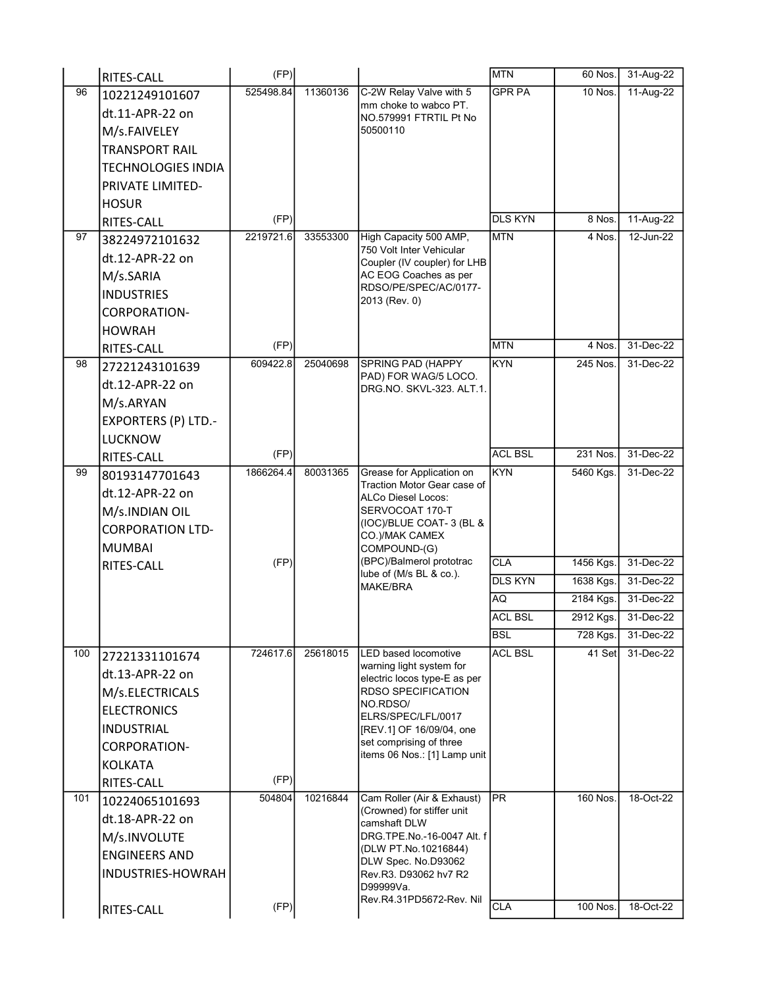|     | RITES-CALL                 | (FP)      |          |                                                           | <b>MTN</b>     | 60 Nos.   | 31-Aug-22    |
|-----|----------------------------|-----------|----------|-----------------------------------------------------------|----------------|-----------|--------------|
| 96  | 10221249101607             | 525498.84 | 11360136 | C-2W Relay Valve with 5                                   | <b>GPR PA</b>  | $10$ Nos. | 11-Aug-22    |
|     | dt.11-APR-22 on            |           |          | mm choke to wabco PT.<br>NO.579991 FTRTIL Pt No           |                |           |              |
|     | M/s.FAIVELEY               |           |          | 50500110                                                  |                |           |              |
|     | <b>TRANSPORT RAIL</b>      |           |          |                                                           |                |           |              |
|     | <b>TECHNOLOGIES INDIA</b>  |           |          |                                                           |                |           |              |
|     | PRIVATE LIMITED-           |           |          |                                                           |                |           |              |
|     | <b>HOSUR</b>               |           |          |                                                           |                |           |              |
|     | RITES-CALL                 | (FP)      |          |                                                           | <b>DLS KYN</b> | 8 Nos.    | 11-Aug-22    |
| 97  | 38224972101632             | 2219721.6 | 33553300 | High Capacity 500 AMP,                                    | <b>MTN</b>     | 4 Nos.    | $12$ -Jun-22 |
|     | dt.12-APR-22 on            |           |          | 750 Volt Inter Vehicular<br>Coupler (IV coupler) for LHB  |                |           |              |
|     | M/s.SARIA                  |           |          | AC EOG Coaches as per                                     |                |           |              |
|     | <b>INDUSTRIES</b>          |           |          | RDSO/PE/SPEC/AC/0177-                                     |                |           |              |
|     | <b>CORPORATION-</b>        |           |          | 2013 (Rev. 0)                                             |                |           |              |
|     | <b>HOWRAH</b>              |           |          |                                                           |                |           |              |
|     | RITES-CALL                 | (FP)      |          |                                                           | <b>MTN</b>     | 4 Nos.    | 31-Dec-22    |
| 98  | 27221243101639             | 609422.8  | 25040698 | <b>SPRING PAD (HAPPY</b>                                  | <b>KYN</b>     | 245 Nos.  | 31-Dec-22    |
|     | dt.12-APR-22 on            |           |          | PAD) FOR WAG/5 LOCO.<br>DRG.NO. SKVL-323. ALT.1.          |                |           |              |
|     | M/s.ARYAN                  |           |          |                                                           |                |           |              |
|     | <b>EXPORTERS (P) LTD.-</b> |           |          |                                                           |                |           |              |
|     | <b>LUCKNOW</b>             |           |          |                                                           |                |           |              |
|     | RITES-CALL                 | (FP)      |          |                                                           | <b>ACL BSL</b> | 231 Nos.  | 31-Dec-22    |
| 99  | 80193147701643             | 1866264.4 | 80031365 | Grease for Application on                                 | <b>KYN</b>     | 5460 Kgs. | 31-Dec-22    |
|     | dt.12-APR-22 on            |           |          | Traction Motor Gear case of                               |                |           |              |
|     | M/s.INDIAN OIL             |           |          | ALCo Diesel Locos:<br>SERVOCOAT 170-T                     |                |           |              |
|     | <b>CORPORATION LTD-</b>    |           |          | (IOC)/BLUE COAT-3 (BL &                                   |                |           |              |
|     | <b>MUMBAI</b>              |           |          | CO.)/MAK CAMEX<br>COMPOUND-(G)                            |                |           |              |
|     | RITES-CALL                 | (FP)      |          | (BPC)/Balmerol prototrac                                  | <b>CLA</b>     | 1456 Kgs. | 31-Dec-22    |
|     |                            |           |          | lube of (M/s BL & co.).<br><b>MAKE/BRA</b>                | <b>DLS KYN</b> | 1638 Kgs. | 31-Dec-22    |
|     |                            |           |          |                                                           | AQ             | 2184 Kgs. | 31-Dec-22    |
|     |                            |           |          |                                                           | <b>ACL BSL</b> | 2912 Kgs. | 31-Dec-22    |
|     |                            |           |          |                                                           | <b>BSL</b>     | 728 Kgs.  | 31-Dec-22    |
| 100 | 27221331101674             | 724617.6  | 25618015 | LED based locomotive                                      | <b>ACL BSL</b> | 41 Set    | 31-Dec-22    |
|     | dt.13-APR-22 on            |           |          | warning light system for                                  |                |           |              |
|     | M/s.ELECTRICALS            |           |          | electric locos type-E as per<br><b>RDSO SPECIFICATION</b> |                |           |              |
|     | <b>ELECTRONICS</b>         |           |          | NO.RDSO/                                                  |                |           |              |
|     | <b>INDUSTRIAL</b>          |           |          | ELRS/SPEC/LFL/0017<br>[REV.1] OF 16/09/04, one            |                |           |              |
|     | <b>CORPORATION-</b>        |           |          | set comprising of three                                   |                |           |              |
|     | <b>KOLKATA</b>             |           |          | items 06 Nos.: [1] Lamp unit                              |                |           |              |
|     | RITES-CALL                 | (FP)      |          |                                                           |                |           |              |
| 101 | 10224065101693             | 504804    | 10216844 | Cam Roller (Air & Exhaust)                                | PR             | 160 Nos.  | 18-Oct-22    |
|     | dt.18-APR-22 on            |           |          | (Crowned) for stiffer unit                                |                |           |              |
|     | M/s.INVOLUTE               |           |          | camshaft DLW<br>DRG.TPE.No.-16-0047 Alt. f                |                |           |              |
|     | <b>ENGINEERS AND</b>       |           |          | (DLW PT.No.10216844)                                      |                |           |              |
|     | INDUSTRIES-HOWRAH          |           |          | DLW Spec. No.D93062<br>Rev.R3. D93062 hv7 R2              |                |           |              |
|     |                            |           |          | D99999Va.                                                 |                |           |              |
|     |                            |           |          | Rev.R4.31PD5672-Rev. Nil                                  |                |           |              |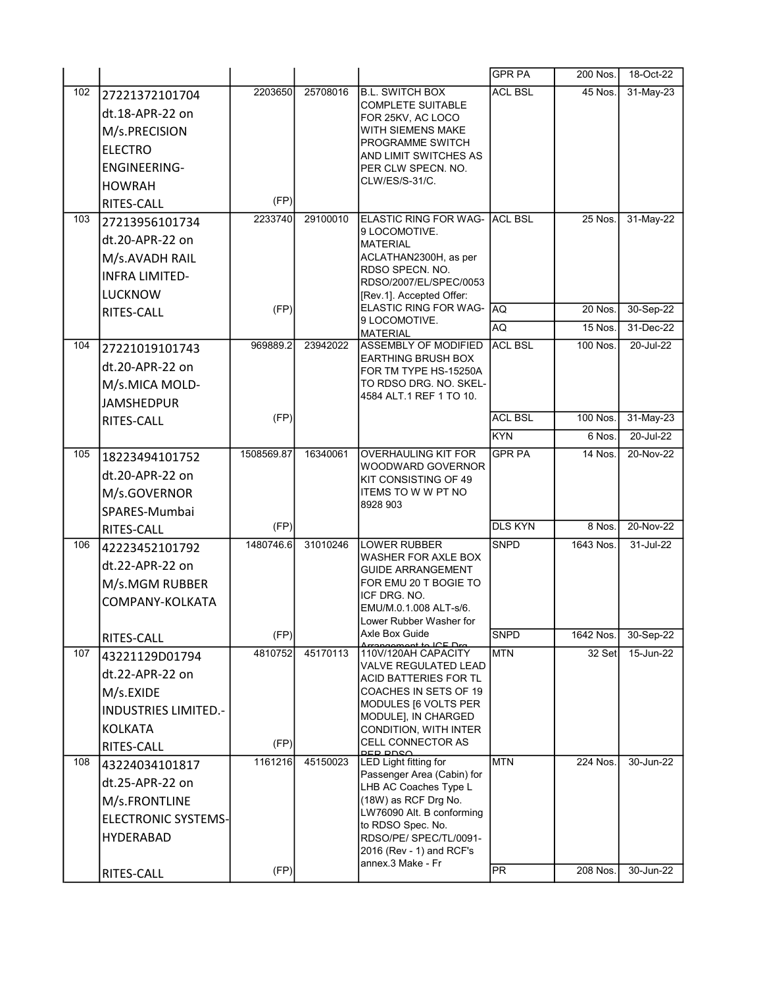|     |                                             |            |          |                                                    | <b>GPR PA</b>  | 200 Nos.  | 18-Oct-22 |
|-----|---------------------------------------------|------------|----------|----------------------------------------------------|----------------|-----------|-----------|
| 102 | 27221372101704                              | 2203650    | 25708016 | <b>B.L. SWITCH BOX</b>                             | <b>ACL BSL</b> | 45 Nos.   | 31-May-23 |
|     | dt.18-APR-22 on                             |            |          | <b>COMPLETE SUITABLE</b><br>FOR 25KV, AC LOCO      |                |           |           |
|     | M/s.PRECISION                               |            |          | WITH SIEMENS MAKE                                  |                |           |           |
|     | <b>ELECTRO</b>                              |            |          | PROGRAMME SWITCH                                   |                |           |           |
|     | <b>ENGINEERING-</b>                         |            |          | AND LIMIT SWITCHES AS<br>PER CLW SPECN. NO.        |                |           |           |
|     | <b>HOWRAH</b>                               |            |          | CLW/ES/S-31/C.                                     |                |           |           |
|     | RITES-CALL                                  | (FP)       |          |                                                    |                |           |           |
| 103 | 27213956101734                              | 2233740    | 29100010 | ELASTIC RING FOR WAG- ACL BSL                      |                | 25 Nos.   | 31-May-22 |
|     | dt.20-APR-22 on                             |            |          | 9 LOCOMOTIVE.<br><b>MATERIAL</b>                   |                |           |           |
|     | M/s.AVADH RAIL                              |            |          | ACLATHAN2300H, as per                              |                |           |           |
|     | <b>INFRA LIMITED-</b>                       |            |          | RDSO SPECN. NO.                                    |                |           |           |
|     | <b>LUCKNOW</b>                              |            |          | RDSO/2007/EL/SPEC/0053<br>[Rev.1]. Accepted Offer: |                |           |           |
|     | RITES-CALL                                  | (FP)       |          | ELASTIC RING FOR WAG-                              | AQ             | 20 Nos.   | 30-Sep-22 |
|     |                                             |            |          | 9 LOCOMOTIVE.<br><b>MATERIAL</b>                   | AQ             | 15 Nos.   | 31-Dec-22 |
| 104 | 27221019101743                              | 969889.2   | 23942022 | <b>ASSEMBLY OF MODIFIED</b>                        | <b>ACL BSL</b> | 100 Nos.  | 20-Jul-22 |
|     | dt.20-APR-22 on                             |            |          | <b>EARTHING BRUSH BOX</b>                          |                |           |           |
|     | M/s.MICA MOLD-                              |            |          | FOR TM TYPE HS-15250A<br>TO RDSO DRG. NO. SKEL-    |                |           |           |
|     | <b>JAMSHEDPUR</b>                           |            |          | 4584 ALT 1 REF 1 TO 10.                            |                |           |           |
|     | RITES-CALL                                  | (FP)       |          |                                                    | <b>ACL BSL</b> | 100 Nos.  | 31-May-23 |
|     |                                             |            |          |                                                    | KYN            | 6 Nos.    | 20-Jul-22 |
| 105 | 18223494101752                              | 1508569.87 | 16340061 | <b>OVERHAULING KIT FOR</b>                         | <b>GPR PA</b>  | 14 Nos.   | 20-Nov-22 |
|     | dt.20-APR-22 on                             |            |          | WOODWARD GOVERNOR                                  |                |           |           |
|     | M/s.GOVERNOR                                |            |          | KIT CONSISTING OF 49<br>ITEMS TO W W PT NO         |                |           |           |
|     | SPARES-Mumbai                               |            |          | 8928 903                                           |                |           |           |
|     | RITES-CALL                                  | (FP)       |          |                                                    | <b>DLS KYN</b> | 8 Nos.    | 20-Nov-22 |
| 106 | 42223452101792                              | 1480746.6  | 31010246 | <b>LOWER RUBBER</b>                                | <b>SNPD</b>    | 1643 Nos. | 31-Jul-22 |
|     | dt.22-APR-22 on                             |            |          | WASHER FOR AXLE BOX                                |                |           |           |
|     | M/s.MGM RUBBER                              |            |          | <b>GUIDE ARRANGEMENT</b><br>FOR EMU 20 T BOGIE TO  |                |           |           |
|     | COMPANY-KOLKATA                             |            |          | ICF DRG. NO.                                       |                |           |           |
|     |                                             |            |          | EMU/M.0.1.008 ALT-s/6.                             |                |           |           |
|     | RITES-CALL                                  | (FP)       |          | Lower Rubber Washer for<br>Axle Box Guide          | <b>SNPD</b>    | 1642 Nos. | 30-Sep-22 |
| 107 | 43221129D01794                              | 4810752    | 45170113 | $+ + \sim$ ICE Dre<br>110V/120AH CAPACITY          | <b>MTN</b>     | 32 Set    | 15-Jun-22 |
|     | dt.22-APR-22 on                             |            |          | <b>VALVE REGULATED LEAD</b>                        |                |           |           |
|     | M/s.EXIDE                                   |            |          | ACID BATTERIES FOR TL<br>COACHES IN SETS OF 19     |                |           |           |
|     | <b>INDUSTRIES LIMITED.-</b>                 |            |          | MODULES [6 VOLTS PER                               |                |           |           |
|     | <b>KOLKATA</b>                              |            |          | MODULE], IN CHARGED<br>CONDITION, WITH INTER       |                |           |           |
|     | RITES-CALL                                  | (FP)       |          | CELL CONNECTOR AS                                  |                |           |           |
| 108 | 43224034101817                              | 1161216    | 45150023 | DED DNSA<br>LED Light fitting for                  | <b>MTN</b>     | 224 Nos.  | 30-Jun-22 |
|     | dt.25-APR-22 on                             |            |          | Passenger Area (Cabin) for                         |                |           |           |
|     |                                             |            |          | LHB AC Coaches Type L<br>(18W) as RCF Drg No.      |                |           |           |
|     | M/s.FRONTLINE<br><b>ELECTRONIC SYSTEMS-</b> |            |          | LW76090 Alt. B conforming                          |                |           |           |
|     |                                             |            |          | to RDSO Spec. No.                                  |                |           |           |
|     | <b>HYDERABAD</b>                            |            |          | RDSO/PE/ SPEC/TL/0091-<br>2016 (Rev - 1) and RCF's |                |           |           |
|     |                                             | (FP)       |          | annex.3 Make - Fr                                  | PR.            | 208 Nos.  | 30-Jun-22 |
|     | RITES-CALL                                  |            |          |                                                    |                |           |           |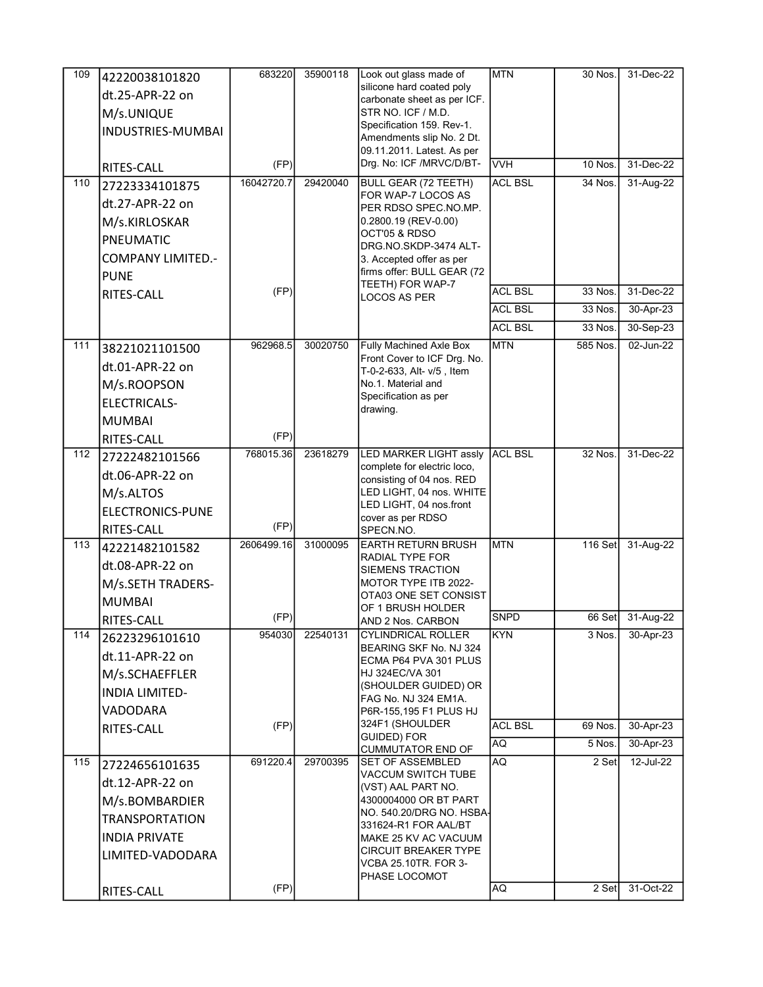| 109   | 42220038101820           | 683220     | 35900118 | Look out glass made of                                   | <b>MTN</b>     | 30 Nos.   | 31-Dec-22 |
|-------|--------------------------|------------|----------|----------------------------------------------------------|----------------|-----------|-----------|
|       | dt.25-APR-22 on          |            |          | silicone hard coated poly                                |                |           |           |
|       | M/s.UNIQUE               |            |          | carbonate sheet as per ICF.<br>STR NO. ICF / M.D.        |                |           |           |
|       | INDUSTRIES-MUMBAI        |            |          | Specification 159. Rev-1.                                |                |           |           |
|       |                          |            |          | Amendments slip No. 2 Dt.                                |                |           |           |
|       |                          | (FP)       |          | 09.11.2011. Latest. As per<br>Drg. No: ICF /MRVC/D/BT-   | <b>VVH</b>     | 10 Nos.   | 31-Dec-22 |
| 110   | RITES-CALL               | 16042720.7 | 29420040 | <b>BULL GEAR (72 TEETH)</b>                              | <b>ACL BSL</b> | 34 Nos.   | 31-Aug-22 |
|       | 27223334101875           |            |          | FOR WAP-7 LOCOS AS                                       |                |           |           |
|       | dt.27-APR-22 on          |            |          | PER RDSO SPEC NO.MP.                                     |                |           |           |
|       | M/s.KIRLOSKAR            |            |          | 0.2800.19 (REV-0.00)<br>OCT'05 & RDSO                    |                |           |           |
|       | PNEUMATIC                |            |          | DRG.NO.SKDP-3474 ALT-                                    |                |           |           |
|       | <b>COMPANY LIMITED.-</b> |            |          | 3. Accepted offer as per                                 |                |           |           |
|       | <b>PUNE</b>              |            |          | firms offer: BULL GEAR (72<br>TEETH) FOR WAP-7           |                |           |           |
|       | RITES-CALL               | (FP)       |          | <b>LOCOS AS PER</b>                                      | <b>ACL BSL</b> | 33 Nos.   | 31-Dec-22 |
|       |                          |            |          |                                                          | <b>ACL BSL</b> | 33 Nos.   | 30-Apr-23 |
|       |                          |            |          |                                                          | <b>ACL BSL</b> | 33 Nos.   | 30-Sep-23 |
| $111$ | 38221021101500           | 962968.5   | 30020750 | Fully Machined Axle Box                                  | <b>MTN</b>     | 585 Nos.  | 02-Jun-22 |
|       | dt.01-APR-22 on          |            |          | Front Cover to ICF Drg. No.<br>T-0-2-633, Alt- v/5, Item |                |           |           |
|       | M/s.ROOPSON              |            |          | No.1. Material and                                       |                |           |           |
|       | <b>ELECTRICALS-</b>      |            |          | Specification as per<br>drawing.                         |                |           |           |
|       | <b>MUMBAI</b>            |            |          |                                                          |                |           |           |
|       | RITES-CALL               | (FP)       |          |                                                          |                |           |           |
| 112   | 27222482101566           | 768015.36  | 23618279 | LED MARKER LIGHT assly                                   | <b>ACL BSL</b> | 32 Nos.   | 31-Dec-22 |
|       | dt.06-APR-22 on          |            |          | complete for electric loco,<br>consisting of 04 nos. RED |                |           |           |
|       | M/s.ALTOS                |            |          | LED LIGHT, 04 nos. WHITE                                 |                |           |           |
|       | ELECTRONICS-PUNE         |            |          | LED LIGHT, 04 nos.front                                  |                |           |           |
|       | RITES-CALL               | (FP)       |          | cover as per RDSO<br>SPECN.NO.                           |                |           |           |
| 113   | 42221482101582           | 2606499.16 | 31000095 | <b>EARTH RETURN BRUSH</b>                                | <b>MTN</b>     | $116$ Set | 31-Aug-22 |
|       | dt.08-APR-22 on          |            |          | RADIAL TYPE FOR                                          |                |           |           |
|       | M/s.SETH TRADERS-        |            |          | <b>SIEMENS TRACTION</b><br>MOTOR TYPE ITB 2022-          |                |           |           |
|       | <b>MUMBAI</b>            |            |          | OTA03 ONE SET CONSIST                                    |                |           |           |
|       |                          | (FP)       |          | OF 1 BRUSH HOLDER                                        | <b>SNPD</b>    | 66 Set    | 31-Aug-22 |
| 114   | RITES-CALL               | 954030     | 22540131 | AND 2 Nos. CARBON<br><b>CYLINDRICAL ROLLER</b>           | KYN            | 3 Nos.    | 30-Apr-23 |
|       | 26223296101610           |            |          | BEARING SKF No. NJ 324                                   |                |           |           |
|       | dt.11-APR-22 on          |            |          | ECMA P64 PVA 301 PLUS                                    |                |           |           |
|       | M/s.SCHAEFFLER           |            |          | HJ 324EC/VA 301<br>(SHOULDER GUIDED) OR                  |                |           |           |
|       | <b>INDIA LIMITED-</b>    |            |          | FAG No. NJ 324 EM1A.                                     |                |           |           |
|       | VADODARA                 |            |          | P6R-155,195 F1 PLUS HJ                                   |                |           |           |
|       | RITES-CALL               | (FP)       |          | 324F1 (SHOULDER<br><b>GUIDED) FOR</b>                    | <b>ACL BSL</b> | 69 Nos.   | 30-Apr-23 |
|       |                          |            |          | <b>CUMMUTATOR END OF</b>                                 | <b>AQ</b>      | $5$ Nos.  | 30-Apr-23 |
| 115   | 27224656101635           | 691220.4   | 29700395 | <b>SET OF ASSEMBLED</b><br><b>VACCUM SWITCH TUBE</b>     | AQ.            | 2 Set     | 12-Jul-22 |
|       | dt.12-APR-22 on          |            |          | (VST) AAL PART NO.                                       |                |           |           |
|       | M/s.BOMBARDIER           |            |          | 4300004000 OR BT PART                                    |                |           |           |
|       | <b>TRANSPORTATION</b>    |            |          | NO. 540.20/DRG NO. HSBA-<br>331624-R1 FOR AAL/BT         |                |           |           |
|       | <b>INDIA PRIVATE</b>     |            |          | MAKE 25 KV AC VACUUM                                     |                |           |           |
|       | LIMITED-VADODARA         |            |          | <b>CIRCUIT BREAKER TYPE</b>                              |                |           |           |
|       |                          |            |          | VCBA 25.10TR. FOR 3-<br>PHASE LOCOMOT                    |                |           |           |
|       | RITES-CALL               | (FP)       |          |                                                          | AQ             | 2 Set     | 31-Oct-22 |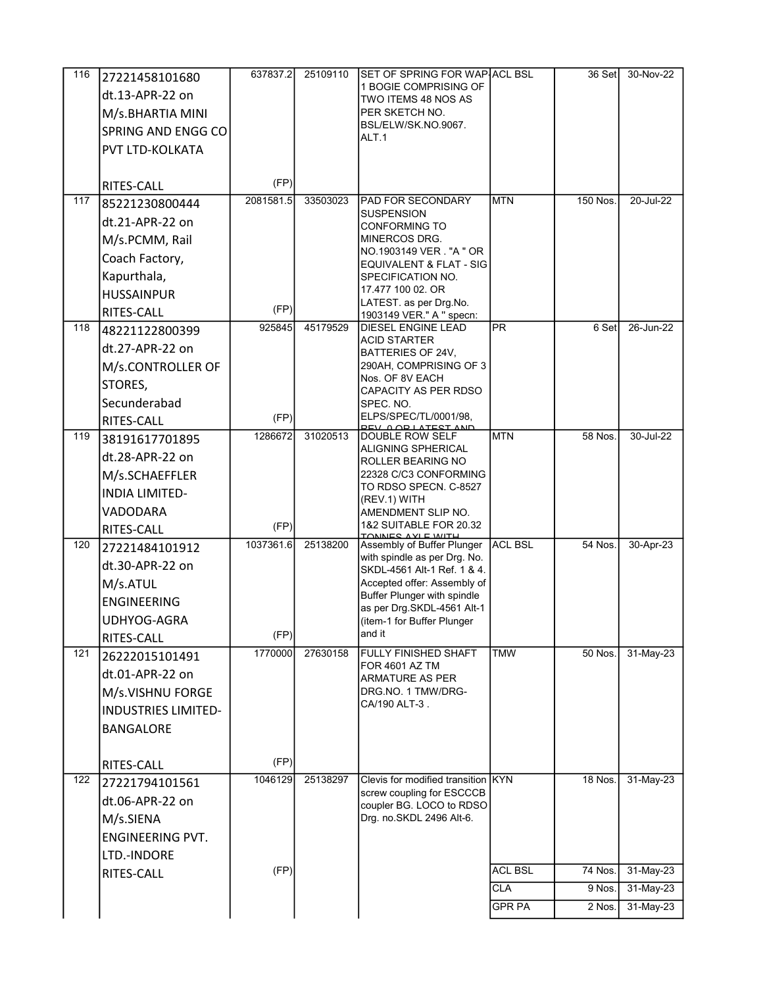| 116              | 27221458101680             | 637837.2  | 25109110 | SET OF SPRING FOR WAP ACL BSL                               |                        | 36 Set         | 30-Nov-22   |
|------------------|----------------------------|-----------|----------|-------------------------------------------------------------|------------------------|----------------|-------------|
|                  | dt.13-APR-22 on            |           |          | 1 BOGIE COMPRISING OF                                       |                        |                |             |
|                  | M/s.BHARTIA MINI           |           |          | TWO ITEMS 48 NOS AS<br>PER SKETCH NO.                       |                        |                |             |
|                  | SPRING AND ENGG CO         |           |          | BSL/ELW/SK.NO.9067.                                         |                        |                |             |
|                  |                            |           |          | ALT.1                                                       |                        |                |             |
|                  | PVT LTD-KOLKATA            |           |          |                                                             |                        |                |             |
|                  | RITES-CALL                 | (FP)      |          |                                                             |                        |                |             |
| 117              | 85221230800444             | 2081581.5 | 33503023 | <b>PAD FOR SECONDARY</b>                                    | <b>MTN</b>             | 150 Nos.       | 20-Jul-22   |
|                  | dt.21-APR-22 on            |           |          | <b>SUSPENSION</b><br><b>CONFORMING TO</b>                   |                        |                |             |
|                  | M/s.PCMM, Rail             |           |          | MINERCOS DRG.                                               |                        |                |             |
|                  | Coach Factory,             |           |          | NO.1903149 VER. "A " OR                                     |                        |                |             |
|                  | Kapurthala,                |           |          | EQUIVALENT & FLAT - SIG<br>SPECIFICATION NO.                |                        |                |             |
|                  | <b>HUSSAINPUR</b>          |           |          | 17.477 100 02. OR                                           |                        |                |             |
|                  | RITES-CALL                 | (FP)      |          | LATEST. as per Drg.No.                                      |                        |                |             |
| 118              | 48221122800399             | 925845    | 45179529 | 1903149 VER." A " specn:<br><b>DIESEL ENGINE LEAD</b>       | $\overline{\text{PR}}$ | 6 Set          | 26-Jun-22   |
|                  | dt.27-APR-22 on            |           |          | <b>ACID STARTER</b>                                         |                        |                |             |
|                  |                            |           |          | BATTERIES OF 24V.<br>290AH, COMPRISING OF 3                 |                        |                |             |
|                  | M/s.CONTROLLER OF          |           |          | Nos. OF 8V EACH                                             |                        |                |             |
|                  | STORES,                    |           |          | CAPACITY AS PER RDSO                                        |                        |                |             |
|                  | Secunderabad               |           |          | SPEC. NO.<br>ELPS/SPEC/TL/0001/98,                          |                        |                |             |
|                  | RITES-CALL                 | (FP)      |          | <b>ORLATEST AND</b>                                         |                        |                |             |
| 119              | 38191617701895             | 1286672   | 31020513 | DOUBLE ROW SELF<br><b>ALIGNING SPHERICAL</b>                | <b>MTN</b>             | 58 Nos.        | 30-Jul-22   |
|                  | dt.28-APR-22 on            |           |          | ROLLER BEARING NO                                           |                        |                |             |
|                  | M/s.SCHAEFFLER             |           |          | 22328 C/C3 CONFORMING<br>TO RDSO SPECN. C-8527              |                        |                |             |
|                  | <b>INDIA LIMITED-</b>      |           |          | (REV.1) WITH                                                |                        |                |             |
|                  | VADODARA                   |           |          | AMENDMENT SLIP NO.                                          |                        |                |             |
|                  | RITES-CALL                 | (FP)      |          | 1&2 SUITABLE FOR 20.32<br>TONNES AVI E WITH                 |                        |                |             |
| 120              | 27221484101912             | 1037361.6 | 25138200 | Assembly of Buffer Plunger                                  | <b>ACL BSL</b>         | 54 Nos.        | 30-Apr-23   |
|                  | dt.30-APR-22 on            |           |          | with spindle as per Drg. No.<br>SKDL-4561 Alt-1 Ref. 1 & 4. |                        |                |             |
|                  | M/s.ATUL                   |           |          | Accepted offer: Assembly of                                 |                        |                |             |
|                  | <b>ENGINEERING</b>         |           |          | Buffer Plunger with spindle<br>as per Drg.SKDL-4561 Alt-1   |                        |                |             |
|                  | UDHYOG-AGRA                |           |          | (item-1 for Buffer Plunger                                  |                        |                |             |
|                  | RITES-CALL                 | (FP)      |          | and it                                                      |                        |                |             |
| $\overline{121}$ | 26222015101491             | 1770000   | 27630158 | <b>FULLY FINISHED SHAFT</b>                                 | <b>TMW</b>             | 50 Nos.        | 31-May-23   |
|                  | dt.01-APR-22 on            |           |          | <b>FOR 4601 AZ TM</b><br><b>ARMATURE AS PER</b>             |                        |                |             |
|                  | M/s.VISHNU FORGE           |           |          | DRG.NO. 1 TMW/DRG-                                          |                        |                |             |
|                  | <b>INDUSTRIES LIMITED-</b> |           |          | CA/190 ALT-3.                                               |                        |                |             |
|                  | <b>BANGALORE</b>           |           |          |                                                             |                        |                |             |
|                  |                            |           |          |                                                             |                        |                |             |
|                  | RITES-CALL                 | (FP)      |          |                                                             |                        |                |             |
| $\overline{122}$ | 27221794101561             | 1046129   | 25138297 | Clevis for modified transition KYN                          |                        | <b>18 Nos.</b> | $31-May-23$ |
|                  | dt.06-APR-22 on            |           |          | screw coupling for ESCCCB<br>coupler BG. LOCO to RDSO       |                        |                |             |
|                  | M/s.SIENA                  |           |          | Drg. no.SKDL 2496 Alt-6.                                    |                        |                |             |
|                  | <b>ENGINEERING PVT.</b>    |           |          |                                                             |                        |                |             |
|                  | LTD.-INDORE                |           |          |                                                             |                        |                |             |
|                  | RITES-CALL                 | (FP)      |          |                                                             | <b>ACL BSL</b>         | 74 Nos.        | 31-May-23   |
|                  |                            |           |          |                                                             | <b>CLA</b>             | 9 Nos.         | $31-May-23$ |
|                  |                            |           |          |                                                             | <b>GPR PA</b>          | 2 Nos.         | 31-May-23   |
|                  |                            |           |          |                                                             |                        |                |             |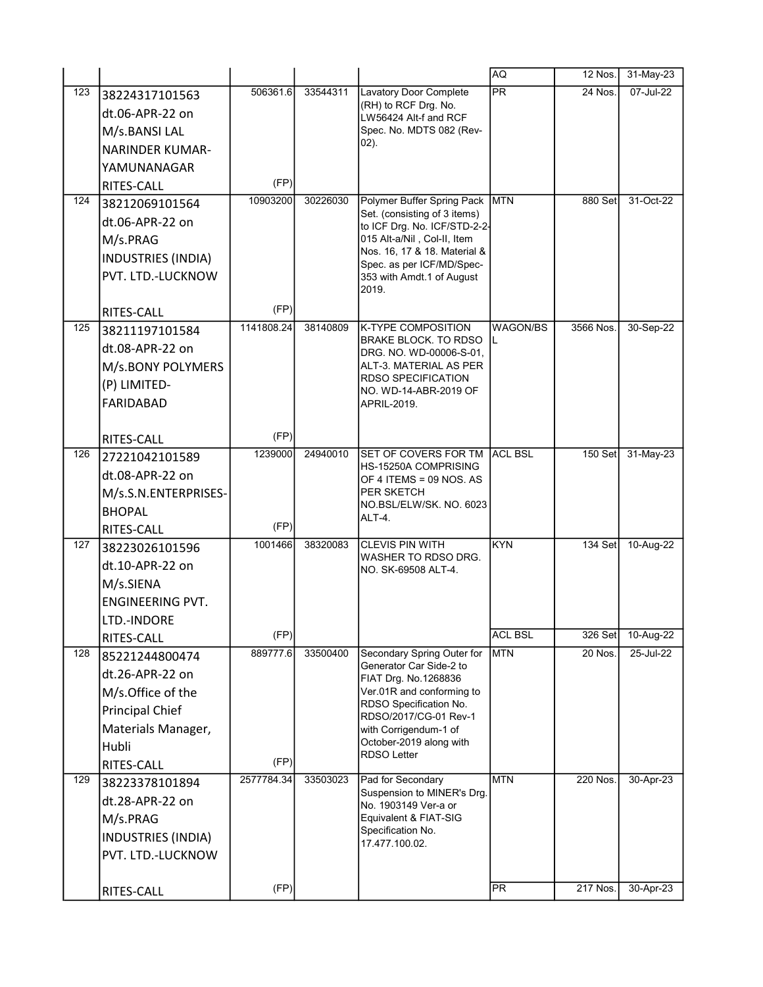|     |                              |            |          |                                                             | AQ              | 12 Nos.   | 31-May-23 |
|-----|------------------------------|------------|----------|-------------------------------------------------------------|-----------------|-----------|-----------|
| 123 | 38224317101563               | 506361.6   | 33544311 | Lavatory Door Complete                                      | $\overline{PR}$ | 24 Nos.   | 07-Jul-22 |
|     | dt.06-APR-22 on              |            |          | (RH) to RCF Drg. No.<br>LW56424 Alt-f and RCF               |                 |           |           |
|     | M/s.BANSI LAL                |            |          | Spec. No. MDTS 082 (Rev-                                    |                 |           |           |
|     | <b>NARINDER KUMAR-</b>       |            |          | $02$ ).                                                     |                 |           |           |
|     | YAMUNANAGAR                  |            |          |                                                             |                 |           |           |
|     | RITES-CALL                   | (FP)       |          |                                                             |                 |           |           |
| 124 | 38212069101564               | 10903200   | 30226030 | Polymer Buffer Spring Pack MTN                              |                 | 880 Set   | 31-Oct-22 |
|     | dt.06-APR-22 on              |            |          | Set. (consisting of 3 items)                                |                 |           |           |
|     | M/s.PRAG                     |            |          | to ICF Drg. No. ICF/STD-2-2-<br>015 Alt-a/Nil, Col-II, Item |                 |           |           |
|     | <b>INDUSTRIES (INDIA)</b>    |            |          | Nos. 16, 17 & 18. Material &                                |                 |           |           |
|     | PVT. LTD.-LUCKNOW            |            |          | Spec. as per ICF/MD/Spec-                                   |                 |           |           |
|     |                              |            |          | 353 with Amdt.1 of August<br>2019.                          |                 |           |           |
|     | RITES-CALL                   | (FP)       |          |                                                             |                 |           |           |
| 125 | 38211197101584               | 1141808.24 | 38140809 | <b>K-TYPE COMPOSITION</b>                                   | <b>WAGON/BS</b> | 3566 Nos. | 30-Sep-22 |
|     | dt.08-APR-22 on              |            |          | <b>BRAKE BLOCK. TO RDSO</b>                                 |                 |           |           |
|     | M/s.BONY POLYMERS            |            |          | DRG. NO. WD-00006-S-01,<br>ALT-3. MATERIAL AS PER           |                 |           |           |
|     | (P) LIMITED-                 |            |          | <b>RDSO SPECIFICATION</b>                                   |                 |           |           |
|     |                              |            |          | NO. WD-14-ABR-2019 OF                                       |                 |           |           |
|     | FARIDABAD                    |            |          | APRIL-2019.                                                 |                 |           |           |
|     | RITES-CALL                   | (FP)       |          |                                                             |                 |           |           |
| 126 | 27221042101589               | 1239000    | 24940010 | SET OF COVERS FOR TM                                        | <b>ACL BSL</b>  | 150 Set   | 31-May-23 |
|     | dt.08-APR-22 on              |            |          | HS-15250A COMPRISING                                        |                 |           |           |
|     | M/s.S.N.ENTERPRISES-         |            |          | OF 4 ITEMS = 09 NOS. AS<br>PER SKETCH                       |                 |           |           |
|     | <b>BHOPAL</b>                |            |          | NO.BSL/ELW/SK. NO. 6023                                     |                 |           |           |
|     | RITES-CALL                   | (FP)       |          | ALT-4.                                                      |                 |           |           |
| 127 | 38223026101596               | 1001466    | 38320083 | <b>CLEVIS PIN WITH</b>                                      | <b>KYN</b>      | 134 Set   | 10-Aug-22 |
|     | dt.10-APR-22 on              |            |          | WASHER TO RDSO DRG.                                         |                 |           |           |
|     | M/s.SIENA                    |            |          | NO. SK-69508 ALT-4.                                         |                 |           |           |
|     | <b>ENGINEERING PVT.</b>      |            |          |                                                             |                 |           |           |
|     | LTD.-INDORE                  |            |          |                                                             |                 |           |           |
|     |                              | (FP)       |          |                                                             | <b>ACL BSL</b>  | 326 Set   | 10-Aug-22 |
| 128 | RITES-CALL<br>85221244800474 | 889777.6   | 33500400 | Secondary Spring Outer for                                  | <b>MTN</b>      | 20 Nos.   | 25-Jul-22 |
|     |                              |            |          | Generator Car Side-2 to                                     |                 |           |           |
|     | dt.26-APR-22 on              |            |          | FIAT Drg. No.1268836                                        |                 |           |           |
|     | M/s.Office of the            |            |          | Ver.01R and conforming to<br>RDSO Specification No.         |                 |           |           |
|     | <b>Principal Chief</b>       |            |          | RDSO/2017/CG-01 Rev-1                                       |                 |           |           |
|     | Materials Manager,           |            |          | with Corrigendum-1 of<br>October-2019 along with            |                 |           |           |
|     | Hubli                        |            |          | <b>RDSO Letter</b>                                          |                 |           |           |
|     | RITES-CALL                   | (FP)       |          |                                                             |                 |           |           |
| 129 | 38223378101894               | 2577784.34 | 33503023 | Pad for Secondary<br>Suspension to MINER's Drg.             | <b>MTN</b>      | 220 Nos.  | 30-Apr-23 |
|     | dt.28-APR-22 on              |            |          | No. 1903149 Ver-a or                                        |                 |           |           |
|     | M/s.PRAG                     |            |          | Equivalent & FIAT-SIG<br>Specification No.                  |                 |           |           |
|     | INDUSTRIES (INDIA)           |            |          | 17.477.100.02.                                              |                 |           |           |
|     | PVT. LTD.-LUCKNOW            |            |          |                                                             |                 |           |           |
|     |                              |            |          |                                                             |                 |           |           |
|     | RITES-CALL                   | (FP)       |          |                                                             | PR              | 217 Nos.  | 30-Apr-23 |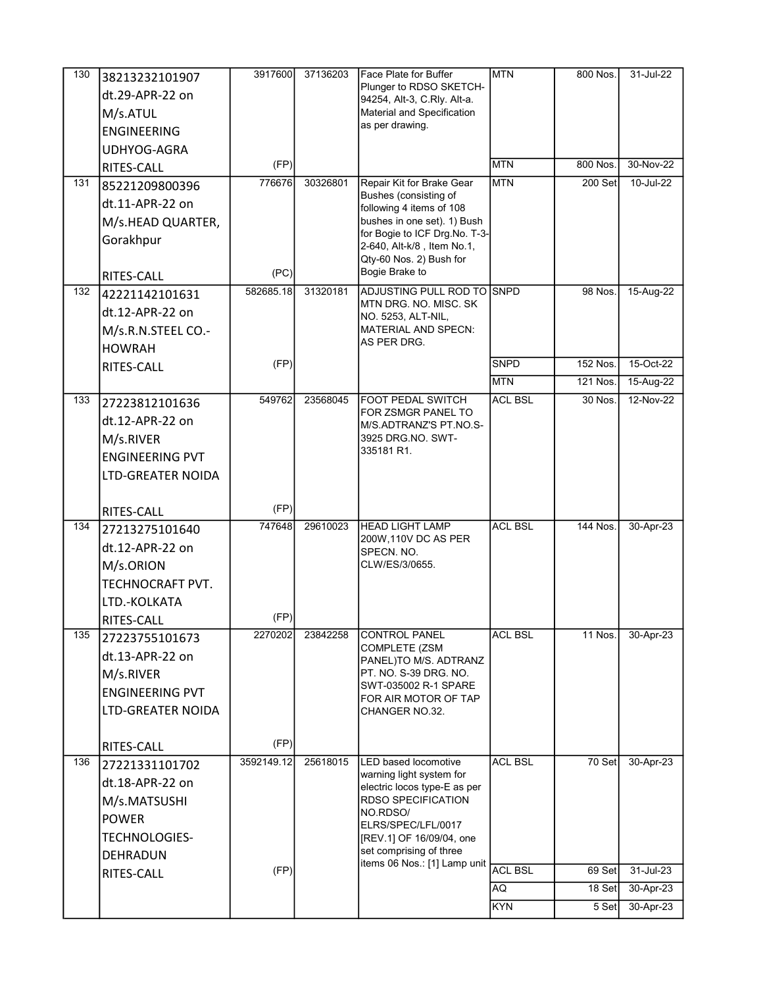| 130 | 38213232101907         | 3917600    | 37136203 | Face Plate for Buffer                                        | <b>MTN</b>     | 800 Nos.        | 31-Jul-22              |
|-----|------------------------|------------|----------|--------------------------------------------------------------|----------------|-----------------|------------------------|
|     | dt.29-APR-22 on        |            |          | Plunger to RDSO SKETCH-                                      |                |                 |                        |
|     | M/s.ATUL               |            |          | 94254, Alt-3, C.Rly. Alt-a.<br>Material and Specification    |                |                 |                        |
|     | <b>ENGINEERING</b>     |            |          | as per drawing.                                              |                |                 |                        |
|     | UDHYOG-AGRA            |            |          |                                                              |                |                 |                        |
|     |                        | (FP)       |          |                                                              | <b>MTN</b>     | 800 Nos.        | 30-Nov-22              |
| 131 | RITES-CALL             | 776676     | 30326801 | Repair Kit for Brake Gear                                    | <b>MTN</b>     | 200 Set         | 10-Jul-22              |
|     | 85221209800396         |            |          | Bushes (consisting of                                        |                |                 |                        |
|     | dt.11-APR-22 on        |            |          | following 4 items of 108                                     |                |                 |                        |
|     | M/s.HEAD QUARTER,      |            |          | bushes in one set). 1) Bush<br>for Bogie to ICF Drg.No. T-3- |                |                 |                        |
|     | Gorakhpur              |            |          | 2-640, Alt-k/8, Item No.1,                                   |                |                 |                        |
|     |                        |            |          | Qty-60 Nos. 2) Bush for                                      |                |                 |                        |
|     | RITES-CALL             | (PC)       |          | Bogie Brake to                                               |                |                 |                        |
| 132 | 42221142101631         | 582685.18  | 31320181 | ADJUSTING PULL ROD TO SNPD<br>MTN DRG. NO. MISC. SK          |                | 98 Nos.         | 15-Aug-22              |
|     | dt.12-APR-22 on        |            |          | NO. 5253, ALT-NIL,                                           |                |                 |                        |
|     | M/s.R.N.STEEL CO.-     |            |          | MATERIAL AND SPECN:                                          |                |                 |                        |
|     | <b>HOWRAH</b>          |            |          | AS PER DRG.                                                  |                |                 |                        |
|     | RITES-CALL             | (FP)       |          |                                                              | <b>SNPD</b>    | 152 Nos.        | 15-Oct-22              |
|     |                        |            |          |                                                              | <b>MTN</b>     | 121 Nos.        | 15-Aug-22              |
| 133 | 27223812101636         | 549762     | 23568045 | <b>FOOT PEDAL SWITCH</b>                                     | <b>ACL BSL</b> | 30 Nos.         | 12-Nov-22              |
|     | dt.12-APR-22 on        |            |          | FOR ZSMGR PANEL TO<br>M/S.ADTRANZ'S PT.NO.S-                 |                |                 |                        |
|     | M/s.RIVER              |            |          | 3925 DRG NO. SWT-                                            |                |                 |                        |
|     | <b>ENGINEERING PVT</b> |            |          | 335181 R1.                                                   |                |                 |                        |
|     | LTD-GREATER NOIDA      |            |          |                                                              |                |                 |                        |
|     |                        |            |          |                                                              |                |                 |                        |
|     | RITES-CALL             | (FP)       |          |                                                              |                |                 |                        |
|     |                        |            |          | <b>HEAD LIGHT LAMP</b>                                       | <b>ACL BSL</b> |                 |                        |
| 134 | 27213275101640         | 747648     | 29610023 |                                                              |                | <b>144 Nos.</b> | 30-Apr-23              |
|     | dt.12-APR-22 on        |            |          | 200W, 110V DC AS PER                                         |                |                 |                        |
|     |                        |            |          | SPECN. NO.<br>CLW/ES/3/0655.                                 |                |                 |                        |
|     | M/s.ORION              |            |          |                                                              |                |                 |                        |
|     | TECHNOCRAFT PVT.       |            |          |                                                              |                |                 |                        |
|     | LTD.-KOLKATA           | (FP)       |          |                                                              |                |                 |                        |
| 135 | <b>RITES-CALL</b>      | 2270202    | 23842258 | <b>CONTROL PANEL</b>                                         | <b>ACL BSL</b> | <b>11 Nos.</b>  | 30-Apr-23              |
|     | 27223755101673         |            |          | COMPLETE (ZSM                                                |                |                 |                        |
|     | dt.13-APR-22 on        |            |          | PANEL)TO M/S. ADTRANZ                                        |                |                 |                        |
|     | M/s.RIVER              |            |          | PT. NO. S-39 DRG. NO.<br>SWT-035002 R-1 SPARE                |                |                 |                        |
|     | <b>ENGINEERING PVT</b> |            |          | FOR AIR MOTOR OF TAP                                         |                |                 |                        |
|     | LTD-GREATER NOIDA      |            |          | CHANGER NO.32.                                               |                |                 |                        |
|     |                        | (FP)       |          |                                                              |                |                 |                        |
| 136 | RITES-CALL             | 3592149.12 | 25618015 | <b>LED based locomotive</b>                                  | <b>ACL BSL</b> | 70 Set          | 30-Apr-23              |
|     | 27221331101702         |            |          | warning light system for                                     |                |                 |                        |
|     | dt.18-APR-22 on        |            |          | electric locos type-E as per                                 |                |                 |                        |
|     | M/s.MATSUSHI           |            |          | RDSO SPECIFICATION<br>NO.RDSO/                               |                |                 |                        |
|     | <b>POWER</b>           |            |          | ELRS/SPEC/LFL/0017                                           |                |                 |                        |
|     | TECHNOLOGIES-          |            |          | [REV.1] OF 16/09/04, one<br>set comprising of three          |                |                 |                        |
|     | DEHRADUN               |            |          | items 06 Nos.: [1] Lamp unit                                 |                |                 |                        |
|     | RITES-CALL             | (FP)       |          |                                                              | <b>ACL BSL</b> | 69 Set          | 31-Jul-23              |
|     |                        |            |          |                                                              | AQ.<br>KYN     | 18 Set<br>5 Set | 30-Apr-23<br>30-Apr-23 |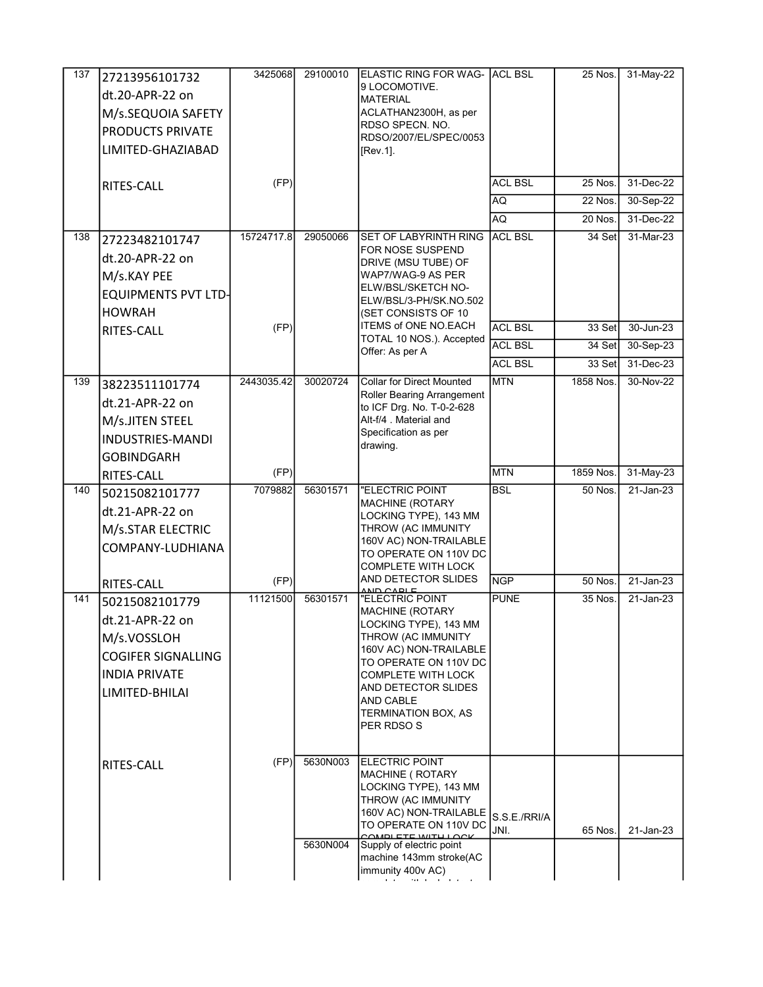| 137 | 27213956101732<br>dt.20-APR-22 on<br>M/s.SEQUOIA SAFETY<br>PRODUCTS PRIVATE<br>LIMITED-GHAZIABAD                        | 3425068    | 29100010             | ELASTIC RING FOR WAG- ACL BSL<br>9 LOCOMOTIVE.<br><b>MATERIAL</b><br>ACLATHAN2300H, as per<br>RDSO SPECN. NO.<br>RDSO/2007/EL/SPEC/0053<br>[Rev.1].                                                                                                    |                      | 25 Nos.              | 31-May-22              |
|-----|-------------------------------------------------------------------------------------------------------------------------|------------|----------------------|--------------------------------------------------------------------------------------------------------------------------------------------------------------------------------------------------------------------------------------------------------|----------------------|----------------------|------------------------|
|     | RITES-CALL                                                                                                              | (FP)       |                      |                                                                                                                                                                                                                                                        | <b>ACL BSL</b><br>AQ | $25$ Nos.<br>22 Nos. | 31-Dec-22<br>30-Sep-22 |
|     |                                                                                                                         |            |                      |                                                                                                                                                                                                                                                        | AQ                   | 20 Nos.              | 31-Dec-22              |
| 138 | 27223482101747<br>dt.20-APR-22 on<br>M/s.KAY PEE<br><b>EQUIPMENTS PVT LTD-</b><br><b>HOWRAH</b>                         | 15724717.8 | 29050066             | SET OF LABYRINTH RING<br>FOR NOSE SUSPEND<br>DRIVE (MSU TUBE) OF<br>WAP7/WAG-9 AS PER<br>ELW/BSL/SKETCH NO-<br>ELW/BSL/3-PH/SK.NO.502<br>(SET CONSISTS OF 10                                                                                           | <b>ACL BSL</b>       | 34 Set               | 31-Mar-23              |
|     | <b>RITES-CALL</b>                                                                                                       | (FP)       |                      | ITEMS of ONE NO.EACH                                                                                                                                                                                                                                   | <b>ACL BSL</b>       | $33$ Set             | 30-Jun-23              |
|     |                                                                                                                         |            |                      | TOTAL 10 NOS.). Accepted<br>Offer: As per A                                                                                                                                                                                                            | <b>ACL BSL</b>       | 34 Set               | 30-Sep-23              |
|     |                                                                                                                         |            |                      |                                                                                                                                                                                                                                                        | <b>ACL BSL</b>       | 33 Set               | 31-Dec-23              |
| 139 | 38223511101774<br>dt.21-APR-22 on<br>M/s.JITEN STEEL<br><b>INDUSTRIES-MANDI</b><br><b>GOBINDGARH</b>                    | 2443035.42 | 30020724             | <b>Collar for Direct Mounted</b><br>Roller Bearing Arrangement<br>to ICF Drg. No. T-0-2-628<br>Alt-f/4 . Material and<br>Specification as per<br>drawing.                                                                                              | <b>MTN</b>           | 1858 Nos.            | 30-Nov-22              |
|     | RITES-CALL                                                                                                              | (FP)       |                      |                                                                                                                                                                                                                                                        | <b>MTN</b>           | 1859 Nos.            | 31-May-23              |
| 140 | 50215082101777<br>dt.21-APR-22 on<br>M/s.STAR ELECTRIC<br>COMPANY-LUDHIANA                                              | 7079882    | 56301571             | "ELECTRIC POINT<br><b>MACHINE (ROTARY</b><br>LOCKING TYPE), 143 MM<br>THROW (AC IMMUNITY<br>160V AC) NON-TRAILABLE<br>TO OPERATE ON 110V DC<br><b>COMPLETE WITH LOCK</b>                                                                               | <b>BSL</b>           | 50 Nos.              | $21$ -Jan-23           |
|     | <b>RITES-CALL</b>                                                                                                       | (FP)       |                      | AND DETECTOR SLIDES                                                                                                                                                                                                                                    | <b>NGP</b>           | 50 Nos.              | $21$ -Jan-23           |
| 141 | 50215082101779<br>dt.21-APR-22 on<br>M/s.VOSSLOH<br><b>COGIFER SIGNALLING</b><br><b>INDIA PRIVATE</b><br>LIMITED-BHILAI | 11121500   | 56301571             | "ELECTRIC POINT<br><b>MACHINE (ROTARY</b><br>LOCKING TYPE), 143 MM<br>THROW (AC IMMUNITY<br>160V AC) NON-TRAILABLE<br>TO OPERATE ON 110V DC<br><b>COMPLETE WITH LOCK</b><br>AND DETECTOR SLIDES<br>AND CABLE<br>TERMINATION BOX, AS<br>PER RDSO S      | <b>PUNE</b>          | $35$ Nos.            | $21$ -Jan-23           |
|     | RITES-CALL                                                                                                              | (FP)       | 5630N003<br>5630N004 | ELECTRIC POINT<br>MACHINE ( ROTARY<br>LOCKING TYPE), 143 MM<br>THROW (AC IMMUNITY<br>160V AC) NON-TRAILABLE<br>TO OPERATE ON 110V DC<br>COMBLETE WITH LOCK<br>Supply of electric point<br>machine 143mm stroke(AC<br>immunity 400v AC)<br>an na salawa | S.S.E./RRI/A<br>JNI. | 65 Nos.              | 21-Jan-23              |